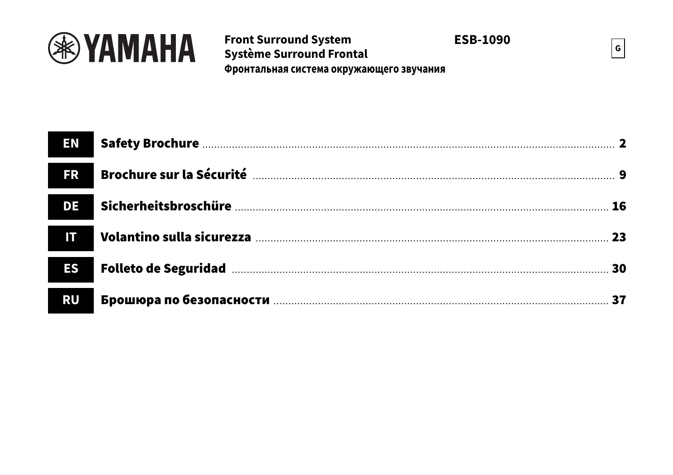

# **Front Surround System** Système Surround Frontal Фронтальная система окружающего звучания

**ESB-1090** 

 $\vert$  G

| <b>FR</b> |  |
|-----------|--|
| <b>DE</b> |  |
| IT        |  |
| <b>ES</b> |  |
| <b>RU</b> |  |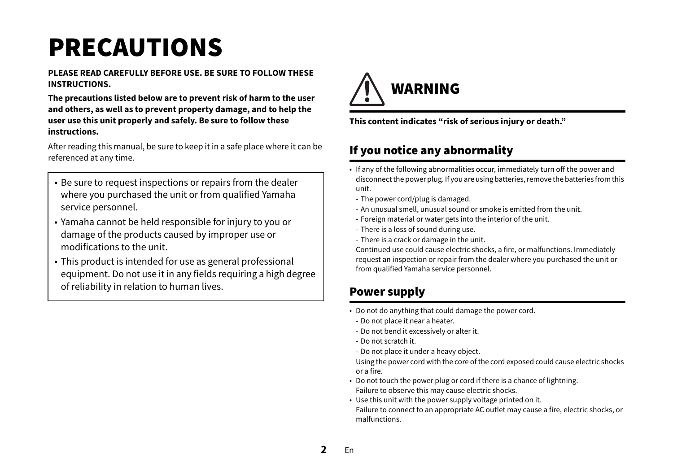# <span id="page-1-0"></span>PRECAUTIONS

#### **PLEASE READ CAREFULLY BEFORE USE. BE SURE TO FOLLOW THESE INSTRUCTIONS.**

**The precautions listed below are to prevent risk of harm to the user and others, as well as to prevent property damage, and to help the user use this unit properly and safely. Be sure to follow these instructions.**

After reading this manual, be sure to keep it in a safe place where it can be referenced at any time.

- Be sure to request inspections or repairs from the dealer where you purchased the unit or from qualified Yamaha service personnel.
- Yamaha cannot be held responsible for injury to you or damage of the products caused by improper use or modifications to the unit.
- This product is intended for use as general professional equipment. Do not use it in any fields requiring a high degree of reliability in relation to human lives.



**This content indicates "risk of serious injury or death."**

# If you notice any abnormality

- If any of the following abnormalities occur, immediately turn off the power and disconnect the power plug. If you are using batteries, remove the batteries from this unit.
	- The power cord/plug is damaged.
	- An unusual smell, unusual sound or smoke is emitted from the unit.
- Foreign material or water gets into the interior of the unit.
- There is a loss of sound during use.
- There is a crack or damage in the unit.

Continued use could cause electric shocks, a fire, or malfunctions. Immediately request an inspection or repair from the dealer where you purchased the unit or from qualified Yamaha service personnel.

# Power supply

- Do not do anything that could damage the power cord.
- Do not place it near a heater.
- Do not bend it excessively or alter it.
- Do not scratch it.
- Do not place it under a heavy object.

Using the power cord with the core of the cord exposed could cause electric shocks or a fire.

- Do not touch the power plug or cord if there is a chance of lightning. Failure to observe this may cause electric shocks.
- Use this unit with the power supply voltage printed on it. Failure to connect to an appropriate AC outlet may cause a fire, electric shocks, or malfunctions.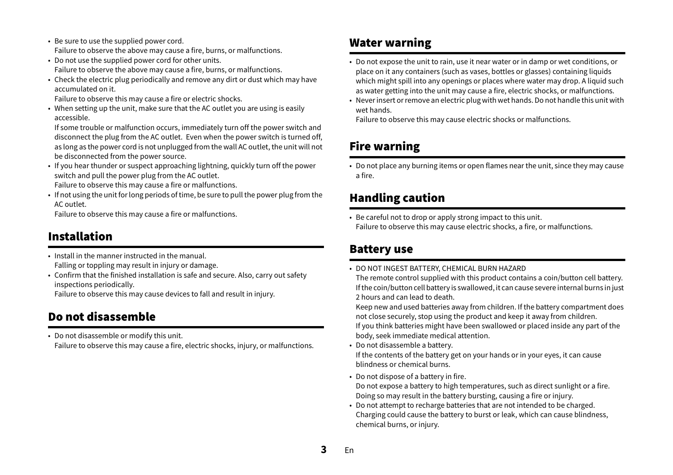- Be sure to use the supplied power cord. Failure to observe the above may cause a fire, burns, or malfunctions.
- Do not use the supplied power cord for other units. Failure to observe the above may cause a fire, burns, or malfunctions.
- Check the electric plug periodically and remove any dirt or dust which may have accumulated on it.

Failure to observe this may cause a fire or electric shocks.

• When setting up the unit, make sure that the AC outlet you are using is easily accessible.

If some trouble or malfunction occurs, immediately turn off the power switch and disconnect the plug from the AC outlet. Even when the power switch is turned off, as long as the power cord is not unplugged from the wall AC outlet, the unit will not be disconnected from the power source.

• If you hear thunder or suspect approaching lightning, quickly turn off the power switch and pull the power plug from the AC outlet.

Failure to observe this may cause a fire or malfunctions.

• If not using the unit for long periods of time, be sure to pull the power plug from the AC outlet.

Failure to observe this may cause a fire or malfunctions.

# Installation

• Install in the manner instructed in the manual.Falling or toppling may result in injury or damage.

• Confirm that the finished installation is safe and secure. Also, carry out safety inspections periodically.

Failure to observe this may cause devices to fall and result in injury.

# Do not disassemble

• Do not disassemble or modify this unit. Failure to observe this may cause a fire, electric shocks, injury, or malfunctions.

### Water warning

- Do not expose the unit to rain, use it near water or in damp or wet conditions, or place on it any containers (such as vases, bottles or glasses) containing liquids which might spill into any openings or places where water may drop. A liquid such as water getting into the unit may cause a fire, electric shocks, or malfunctions.
- Never insert or remove an electric plug with wet hands. Do not handle this unit with wet hands.

Failure to observe this may cause electric shocks or malfunctions.

# Fire warning

• Do not place any burning items or open flames near the unit, since they may cause a fire.

# Handling caution

• Be careful not to drop or apply strong impact to this unit. Failure to observe this may cause electric shocks, a fire, or malfunctions.

### Battery use

• DO NOT INGEST BATTERY, CHEMICAL BURN HAZARD

The remote control supplied with this product contains a coin/button cell battery. If the coin/button cell battery is swallowed, it can cause severe internal burns in just 2 hours and can lead to death.

Keep new and used batteries away from children. If the battery compartment does not close securely, stop using the product and keep it away from children. If you think batteries might have been swallowed or placed inside any part of the body, seek immediate medical attention.

• Do not disassemble a battery.

If the contents of the battery get on your hands or in your eyes, it can cause blindness or chemical burns.

- Do not dispose of a battery in fire. Do not expose a battery to high temperatures, such as direct sunlight or a fire. Doing so may result in the battery bursting, causing a fire or injury.
- Do not attempt to recharge batteries that are not intended to be charged. Charging could cause the battery to burst or leak, which can cause blindness, chemical burns, or injury.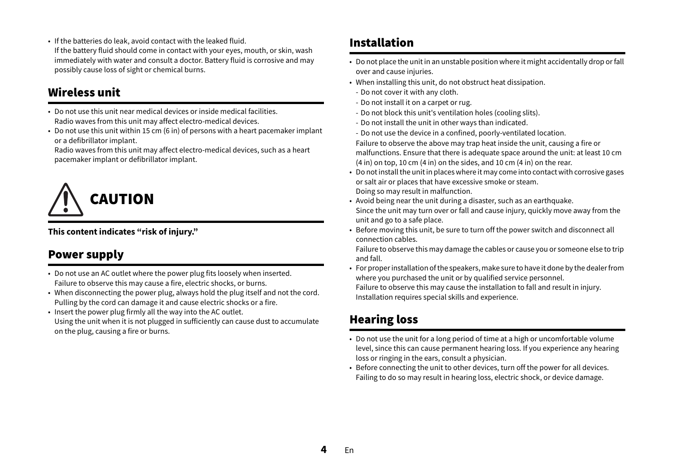• If the batteries do leak, avoid contact with the leaked fluid. If the battery fluid should come in contact with your eyes, mouth, or skin, wash immediately with water and consult a doctor. Battery fluid is corrosive and may possibly cause loss of sight or chemical burns.

# Wireless unit

- Do not use this unit near medical devices or inside medical facilities.Radio waves from this unit may affect electro-medical devices.
- Do not use this unit within 15 cm (6 in) of persons with a heart pacemaker implant or a defibrillator implant.

Radio waves from this unit may affect electro-medical devices, such as a heart pacemaker implant or defibrillator implant.



#### **This content indicates "risk of injury."**

# Power supply

- Do not use an AC outlet where the power plug fits loosely when inserted. Failure to observe this may cause a fire, electric shocks, or burns.
- When disconnecting the power plug, always hold the plug itself and not the cord. Pulling by the cord can damage it and cause electric shocks or a fire.
- Insert the power plug firmly all the way into the AC outlet. Using the unit when it is not plugged in sufficiently can cause dust to accumulate on the plug, causing a fire or burns.

## Installation

- Do not place the unit in an unstable position where it might accidentally drop or fall over and cause injuries.
- When installing this unit, do not obstruct heat dissipation.
- Do not cover it with any cloth.
- Do not install it on a carpet or rug.
- Do not block this unit's ventilation holes (cooling slits).
- Do not install the unit in other ways than indicated.
- Do not use the device in a confined, poorly-ventilated location.
- Failure to observe the above may trap heat inside the unit, causing a fire or malfunctions. Ensure that there is adequate space around the unit: at least 10 cm (4 in) on top, 10 cm (4 in) on the sides, and 10 cm (4 in) on the rear.
- Do not install the unit in places where it may come into contact with corrosive gases or salt air or places that have excessive smoke or steam. Doing so may result in malfunction.
- Avoid being near the unit during a disaster, such as an earthquake. Since the unit may turn over or fall and cause injury, quickly move away from the unit and go to a safe place.
- Before moving this unit, be sure to turn off the power switch and disconnect all connection cables.

Failure to observe this may damage the cables or cause you or someone else to trip and fall.

 $\bullet~$  For proper installation of the speakers, make sure to have it done by the dealer from where you purchased the unit or by qualified service personnel. Failure to observe this may cause the installation to fall and result in injury. Installation requires special skills and experience.

# Hearing loss

- Do not use the unit for a long period of time at a high or uncomfortable volume level, since this can cause permanent hearing loss. If you experience any hearing loss or ringing in the ears, consult a physician.
- Before connecting the unit to other devices, turn off the power for all devices. Failing to do so may result in hearing loss, electric shock, or device damage.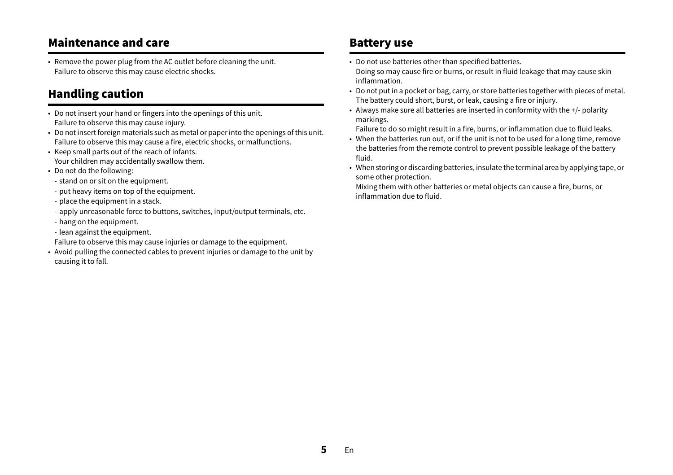### Maintenance and care

• Remove the power plug from the AC outlet before cleaning the unit. Failure to observe this may cause electric shocks.

### Handling caution

- Do not insert your hand or fingers into the openings of this unit. Failure to observe this may cause injury.
- Do not insert foreign materials such as metal or paper into the openings of this unit. Failure to observe this may cause a fire, electric shocks, or malfunctions.
- Keep small parts out of the reach of infants. Your children may accidentally swallow them.
- Do not do the following:
- stand on or sit on the equipment.
- put heavy items on top of the equipment.
- place the equipment in a stack.
- apply unreasonable force to buttons, switches, input/output terminals, etc.
- hang on the equipment.
- lean against the equipment.
- Failure to observe this may cause injuries or damage to the equipment.
- Avoid pulling the connected cables to prevent injuries or damage to the unit by causing it to fall.

### Battery use

- Do not use batteries other than specified batteries. Doing so may cause fire or burns, or result in fluid leakage that may cause skin inflammation.
- Do not put in a pocket or bag, carry, or store batteries together with pieces of metal. The battery could short, burst, or leak, causing a fire or injury.
- Always make sure all batteries are inserted in conformity with the +/- polarity markings.

Failure to do so might result in a fire, burns, or inflammation due to fluid leaks.

- $\bullet$  When the batteries run out, or if the unit is not to be used for a long time, remove the batteries from the remote control to prevent possible leakage of the battery fluid.
- When storing or discarding batteries, insulate the terminal area by applying tape, or some other protection.

Mixing them with other batteries or metal objects can cause a fire, burns, or inflammation due to fluid.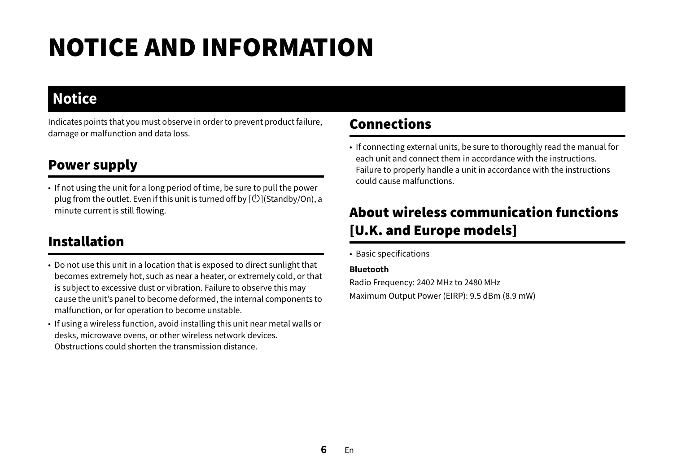# NOTICE AND INFORMATION

# **Notice**

Indicates points that you must observe in order to prevent product failure, damage or malfunction and data loss.

# Power supply

• If not using the unit for a long period of time, be sure to pull the power plug from the outlet. Even if this unit is turned off by  $[\bigcup]$ (Standby/On), a minute current is still flowing.

# Installation

- Do not use this unit in a location that is exposed to direct sunlight that becomes extremely hot, such as near a heater, or extremely cold, or that is subject to excessive dust or vibration. Failure to observe this may cause the unit's panel to become deformed, the internal components to malfunction, or for operation to become unstable.
- If using a wireless function, avoid installing this unit near metal walls or desks, microwave ovens, or other wireless network devices. Obstructions could shorten the transmission distance.

# Connections

• If connecting external units, be sure to thoroughly read the manual for each unit and connect them in accordance with the instructions.Failure to properly handle a unit in accordance with the instructions could cause malfunctions.

# About wireless communication functions [U.K. and Europe models]

• Basic specifications

#### **Bluetooth**

Radio Frequency: 2402 MHz to 2480 MHz Maximum Output Power (EIRP): 9.5 dBm (8.9 mW)

**6**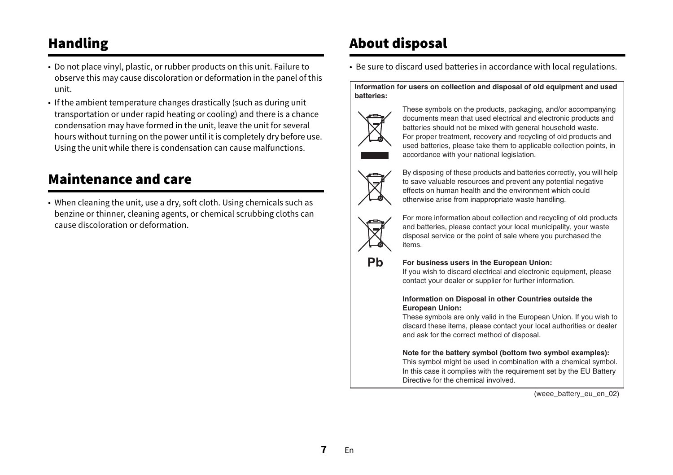# Handling

- Do not place vinyl, plastic, or rubber products on this unit. Failure to observe this may cause discoloration or deformation in the panel of this unit.
- If the ambient temperature changes drastically (such as during unit transportation or under rapid heating or cooling) and there is a chance condensation may have formed in the unit, leave the unit for several hours without turning on the power until it is completely dry before use. Using the unit while there is condensation can cause malfunctions.

# Maintenance and care

• When cleaning the unit, use a dry, soft cloth. Using chemicals such as benzine or thinner, cleaning agents, or chemical scrubbing cloths can cause discoloration or deformation.

# About disposal

• Be sure to discard used batteries in accordance with local regulations.

Information for users on collection and disposal of old equipment and used **batteries:**



These symbols on the products, packaging, and/or accompanying documents mean that used electrical and electronic products and batteries should not be mixed with general household waste. For proper treatment, recovery and recycling of old products and used batteries, please take them to applicable collection points, in accordance with your national legislation.



By disposing of these products and batteries correctly, you will help to save valuable resources and prevent any potential negative effects on human health and the environment which could otherwise arise from inappropriate waste handling.



Pb

For more information about collection and recycling of old products and batteries, please contact your local municipality, your waste disposal service or the point of sale where you purchased the items.

#### **For business users in the European Union:**

If you wish to discard electrical and electronic equipment, please contact your dealer or supplier for further information.

#### **Information on Disposal in other Countries outside the European Union:**

These symbols are only valid in the European Union. If you wish to discard these items, please contact your local authorities or dealer and ask for the correct method of disposal.

#### **Note for the battery symbol (bottom two symbol examples):**

This symbol might be used in combination with a chemical symbol. In this case it complies with the requirement set by the EU Battery Directive for the chemical involved.

(weee\_battery\_eu\_en\_02)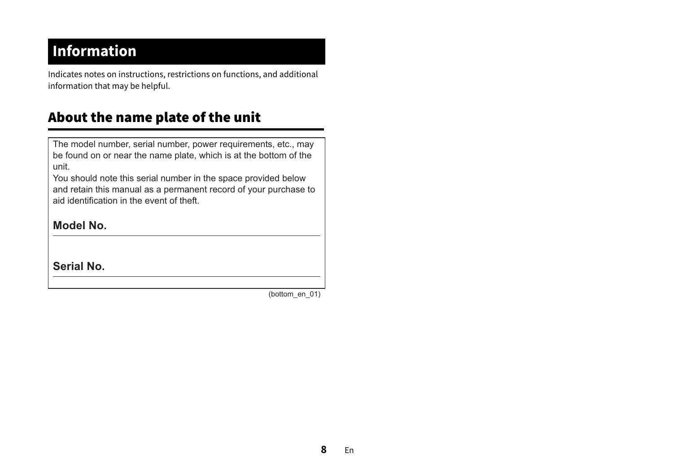# **Information**

Indicates notes on instructions, restrictions on functions, and additional information that may be helpful.

# About the name plate of the unit

The model number, serial number, power requirements, etc., may be found on or near the name plate, which is at the bottom of the unit.

You should note this serial number in the space provided below and retain this manual as a permanent record of your purchase to aid identification in the event of theft.

### **Model No.**

**Serial No.**

(bottom\_en\_01)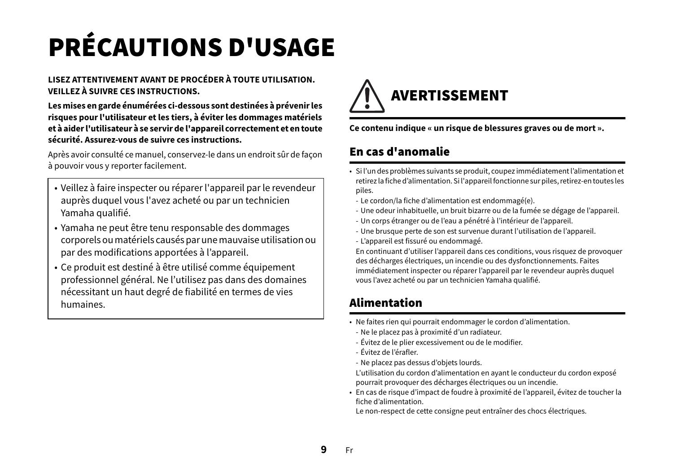# <span id="page-8-0"></span>PRÉCAUTIONS D'USAGE

#### **LISEZ ATTENTIVEMENT AVANT DE PROCÉDER À TOUTE UTILISATION. VEILLEZ À SUIVRE CES INSTRUCTIONS.**

**Les mises en garde énumérées ci-dessous sont destinées à prévenir les risques pour l'utilisateur et les tiers, à éviter les dommages matériels et à aider l'utilisateur à se servir de l'appareil correctement et en toute sécurité. Assurez-vous de suivre ces instructions.**

Après avoir consulté ce manuel, conservez-le dans un endroit sûr de façon à pouvoir vous y reporter facilement.

- Veillez à faire inspecter ou réparer l'appareil par le revendeur auprès duquel vous l'avez acheté ou par un technicien Yamaha qualifié.
- Yamaha ne peut être tenu responsable des dommages corporels ou matériels causés par une mauvaise utilisation ou par des modifications apportées à l'appareil.
- Ce produit est destiné à être utilisé comme équipement professionnel général. Ne l'utilisez pas dans des domaines nécessitant un haut degré de fiabilité en termes de vies humaines.



**Ce contenu indique « un risque de blessures graves ou de mort ».**

# En cas d'anomalie

- Si l'un des problèmes suivants se produit, coupez immédiatement l'alimentation et retirez la fiche d'alimentation. Si l'appareil fonctionne sur piles, retirez-en toutes les piles.
- Le cordon/la fiche d'alimentation est endommagé(e).
- Une odeur inhabituelle, un bruit bizarre ou de la fumée se dégage de l'appareil.
- Un corps étranger ou de l'eau a pénétré à l'intérieur de l'appareil.
- Une brusque perte de son est survenue durant l'utilisation de l'appareil.
- L'appareil est fissuré ou endommagé.

En continuant d'utiliser l'appareil dans ces conditions, vous risquez de provoquer des décharges électriques, un incendie ou des dysfonctionnements. Faites immédiatement inspecter ou réparer l'appareil par le revendeur auprès duquel vous l'avez acheté ou par un technicien Yamaha qualifié.

# Alimentation

- Ne faites rien qui pourrait endommager le cordon d'alimentation.
- Ne le placez pas à proximité d'un radiateur.
- Évitez de le plier excessivement ou de le modifier.
- Évitez de l'érafler.
- Ne placez pas dessus d'objets lourds.

L'utilisation du cordon d'alimentation en ayant le conducteur du cordon exposé pourrait provoquer des décharges électriques ou un incendie.

• En cas de risque d'impact de foudre à proximité de l'appareil, évitez de toucher la fiche d'alimentation.

Le non-respect de cette consigne peut entraîner des chocs électriques.

**9**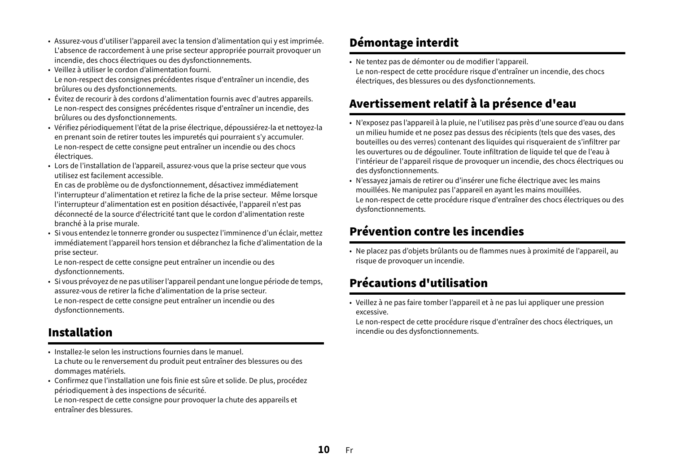- Assurez-vous d'utiliser l'appareil avec la tension d'alimentation qui y est imprimée. L'absence de raccordement à une prise secteur appropriée pourrait provoquer un incendie, des chocs électriques ou des dysfonctionnements.
- Veillez à utiliser le cordon d'alimentation fourni. Le non-respect des consignes précédentes risque d'entraîner un incendie, des brûlures ou des dysfonctionnements.
- Évitez de recourir à des cordons d'alimentation fournis avec d'autres appareils. Le non-respect des consignes précédentes risque d'entraîner un incendie, des brûlures ou des dysfonctionnements.
- Vérifiez périodiquement l'état de la prise électrique, dépoussiérez-la et nettoyez-la en prenant soin de retirer toutes les impuretés qui pourraient s'y accumuler. Le non-respect de cette consigne peut entraîner un incendie ou des chocs électriques.
- Lors de l'installation de l'appareil, assurez-vous que la prise secteur que vous utilisez est facilement accessible.

En cas de problème ou de dysfonctionnement, désactivez immédiatement l'interrupteur d'alimentation et retirez la fiche de la prise secteur. Même lorsque l'interrupteur d'alimentation est en position désactivée, l'appareil n'est pas déconnecté de la source d'électricité tant que le cordon d'alimentation reste branché à la prise murale.

• Si vous entendez le tonnerre gronder ou suspectez l'imminence d'un éclair, mettez immédiatement l'appareil hors tension et débranchez la fiche d'alimentation de la prise secteur.

Le non-respect de cette consigne peut entraîner un incendie ou des dysfonctionnements.

• Si vous prévoyez de ne pas utiliser l'appareil pendant une longue période de temps, assurez-vous de retirer la fiche d'alimentation de la prise secteur. Le non-respect de cette consigne peut entraîner un incendie ou des dysfonctionnements.

# Installation

- Installez-le selon les instructions fournies dans le manuel.La chute ou le renversement du produit peut entraîner des blessures ou des dommages matériels.
- Confirmez que l'installation une fois finie est sûre et solide. De plus, procédez périodiquement à des inspections de sécurité.

Le non-respect de cette consigne pour provoquer la chute des appareils et entraîner des blessures.

# Démontage interdit

• Ne tentez pas de démonter ou de modifier l'appareil. Le non-respect de cette procédure risque d'entraîner un incendie, des chocs électriques, des blessures ou des dysfonctionnements.

# Avertissement relatif à la présence d'eau

- N'exposez pas l'appareil à la pluie, ne l'utilisez pas près d'une source d'eau ou dans un milieu humide et ne posez pas dessus des récipients (tels que des vases, des bouteilles ou des verres) contenant des liquides qui risqueraient de s'infiltrer par les ouvertures ou de dégouliner. Toute infiltration de liquide tel que de l'eau à l'intérieur de l'appareil risque de provoquer un incendie, des chocs électriques ou des dysfonctionnements.
- N'essayez jamais de retirer ou d'insérer une fiche électrique avec les mains mouillées. Ne manipulez pas l'appareil en ayant les mains mouillées. Le non-respect de cette procédure risque d'entraîner des chocs électriques ou des dysfonctionnements.

# Prévention contre les incendies

• Ne placez pas d'objets brûlants ou de flammes nues à proximité de l'appareil, au risque de provoquer un incendie.

# Précautions d'utilisation

• Veillez à ne pas faire tomber l'appareil et à ne pas lui appliquer une pression excessive.

Le non-respect de cette procédure risque d'entraîner des chocs électriques, un incendie ou des dysfonctionnements.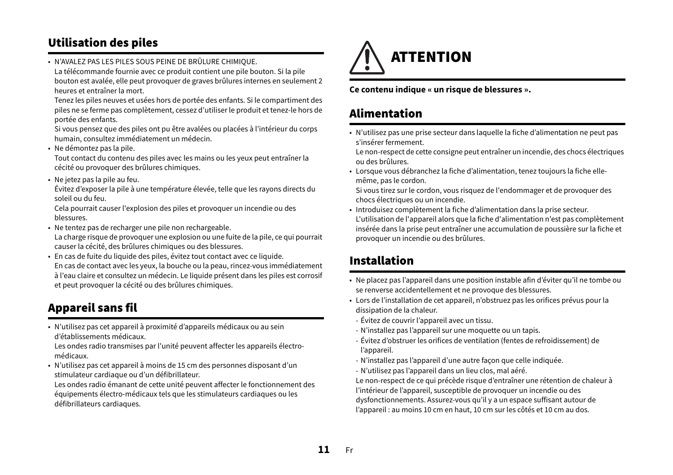# Utilisation des piles

• N'AVALEZ PAS LES PILES SOUS PEINE DE BRÛLURE CHIMIQUE. La télécommande fournie avec ce produit contient une pile bouton. Si la pile bouton est avalée, elle peut provoquer de graves brûlures internes en seulement 2 heures et entraîner la mort.

Tenez les piles neuves et usées hors de portée des enfants. Si le compartiment des piles ne se ferme pas complètement, cessez d'utiliser le produit et tenez-le hors de portée des enfants.

Si vous pensez que des piles ont pu être avalées ou placées à l'intérieur du corps humain, consultez immédiatement un médecin.

• Ne démontez pas la pile.

Tout contact du contenu des piles avec les mains ou les yeux peut entraîner la cécité ou provoquer des brûlures chimiques.

• Ne jetez pas la pile au feu.

Évitez d'exposer la pile à une température élevée, telle que les rayons directs du soleil ou du feu.

Cela pourrait causer l'explosion des piles et provoquer un incendie ou des blessures.

• Ne tentez pas de recharger une pile non rechargeable.

La charge risque de provoquer une explosion ou une fuite de la pile, ce qui pourrait causer la cécité, des brûlures chimiques ou des blessures.

• En cas de fuite du liquide des piles, évitez tout contact avec ce liquide. En cas de contact avec les yeux, la bouche ou la peau, rincez-vous immédiatement à l'eau claire et consultez un médecin. Le liquide présent dans les piles est corrosif et peut provoquer la cécité ou des brûlures chimiques.

# Appareil sans fil

• N'utilisez pas cet appareil à proximité d'appareils médicaux ou au sein d'établissements médicaux.

Les ondes radio transmises par l'unité peuvent affecter les appareils électromédicaux.

• N'utilisez pas cet appareil à moins de 15 cm des personnes disposant d'un stimulateur cardiaque ou d'un défibrillateur.

Les ondes radio émanant de cette unité peuvent affecter le fonctionnement des équipements électro-médicaux tels que les stimulateurs cardiaques ou les défibrillateurs cardiaques.



**Ce contenu indique « un risque de blessures ».**

# Alimentation

• N'utilisez pas une prise secteur dans laquelle la fiche d'alimentation ne peut pas s'insérer fermement.

Le non-respect de cette consigne peut entraîner un incendie, des chocs électriques ou des brûlures.

• Lorsque vous débranchez la fiche d'alimentation, tenez toujours la fiche ellemême, pas le cordon.

Si vous tirez sur le cordon, vous risquez de l'endommager et de provoquer des chocs électriques ou un incendie.

• Introduisez complètement la fiche d'alimentation dans la prise secteur. L'utilisation de l'appareil alors que la fiche d'alimentation n'est pas complètement insérée dans la prise peut entraîner une accumulation de poussière sur la fiche et provoquer un incendie ou des brûlures.

# Installation

- Ne placez pas l'appareil dans une position instable afin d'éviter qu'il ne tombe ou se renverse accidentellement et ne provoque des blessures.
- Lors de l'installation de cet appareil, n'obstruez pas les orifices prévus pour la dissipation de la chaleur.
- Évitez de couvrir l'appareil avec un tissu.
- N'installez pas l'appareil sur une moquette ou un tapis.
- Évitez d'obstruer les orifices de ventilation (fentes de refroidissement) de l'appareil.
- N'installez pas l'appareil d'une autre façon que celle indiquée.
- N'utilisez pas l'appareil dans un lieu clos, mal aéré.

Le non-respect de ce qui précède risque d'entraîner une rétention de chaleur à l'intérieur de l'appareil, susceptible de provoquer un incendie ou des dysfonctionnements. Assurez-vous qu'il y a un espace suffisant autour de l'appareil : au moins 10 cm en haut, 10 cm sur les côtés et 10 cm au dos.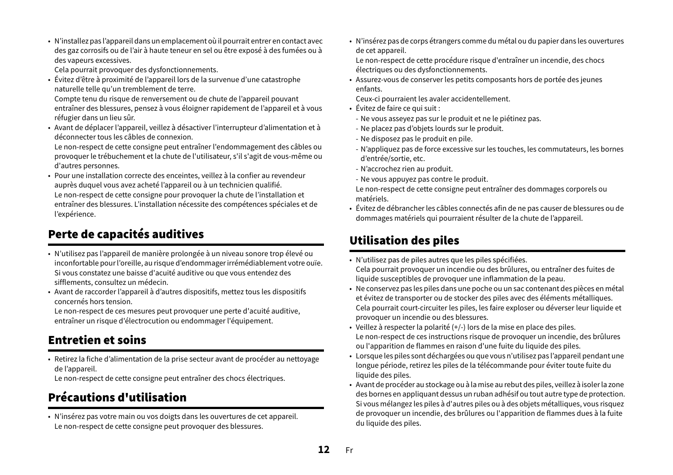• N'installez pas l'appareil dans un emplacement où il pourrait entrer en contact avec des gaz corrosifs ou de l'air à haute teneur en sel ou être exposé à des fumées ou à des vapeurs excessives.

Cela pourrait provoquer des dysfonctionnements.

• Évitez d'être à proximité de l'appareil lors de la survenue d'une catastrophe naturelle telle qu'un tremblement de terre.

Compte tenu du risque de renversement ou de chute de l'appareil pouvant entraîner des blessures, pensez à vous éloigner rapidement de l'appareil et à vous réfugier dans un lieu sûr.

• Avant de déplacer l'appareil, veillez à désactiver l'interrupteur d'alimentation et à déconnecter tous les câbles de connexion.

Le non-respect de cette consigne peut entraîner l'endommagement des câbles ou provoquer le trébuchement et la chute de l'utilisateur, s'il s'agit de vous-même ou d'autres personnes.

• Pour une installation correcte des enceintes, veillez à la confier au revendeur auprès duquel vous avez acheté l'appareil ou à un technicien qualifié. Le non-respect de cette consigne pour provoquer la chute de l'installation et entraîner des blessures. L'installation nécessite des compétences spéciales et de l'expérience.

# Perte de capacités auditives

- N'utilisez pas l'appareil de manière prolongée à un niveau sonore trop élevé ou inconfortable pour l'oreille, au risque d'endommager irrémédiablement votre ouïe. Si vous constatez une baisse d'acuité auditive ou que vous entendez des sifflements, consultez un médecin.
- Avant de raccorder l'appareil à d'autres dispositifs, mettez tous les dispositifs concernés hors tension.

Le non-respect de ces mesures peut provoquer une perte d'acuité auditive, entraîner un risque d'électrocution ou endommager l'équipement.

### Entretien et soins

• Retirez la fiche d'alimentation de la prise secteur avant de procéder au nettoyage de l'appareil.

Le non-respect de cette consigne peut entraîner des chocs électriques.

# Précautions d'utilisation

• N'insérez pas votre main ou vos doigts dans les ouvertures de cet appareil. Le non-respect de cette consigne peut provoquer des blessures.

• N'insérez pas de corps étrangers comme du métal ou du papier dans les ouvertures de cet appareil.

Le non-respect de cette procédure risque d'entraîner un incendie, des chocs électriques ou des dysfonctionnements.

• Assurez-vous de conserver les petits composants hors de portée des jeunes enfants.

Ceux-ci pourraient les avaler accidentellement.

- Évitez de faire ce qui suit :
- Ne vous asseyez pas sur le produit et ne le piétinez pas.
- Ne placez pas d'objets lourds sur le produit.
- Ne disposez pas le produit en pile.
- N'appliquez pas de force excessive sur les touches, les commutateurs, les bornes d'entrée/sortie, etc.
- N'accrochez rien au produit.
- Ne vous appuyez pas contre le produit.

Le non-respect de cette consigne peut entraîner des dommages corporels ou matériels.

• Évitez de débrancher les câbles connectés afin de ne pas causer de blessures ou de dommages matériels qui pourraient résulter de la chute de l'appareil.

# Utilisation des piles

- N'utilisez pas de piles autres que les piles spécifiées.
- Cela pourrait provoquer un incendie ou des brûlures, ou entraîner des fuites de liquide susceptibles de provoquer une inflammation de la peau.
- Ne conservez pas les piles dans une poche ou un sac contenant des pièces en métal et évitez de transporter ou de stocker des piles avec des éléments métalliques. Cela pourrait court-circuiter les piles, les faire exploser ou déverser leur liquide et provoquer un incendie ou des blessures.
- Veillez à respecter la polarité (+/-) lors de la mise en place des piles. Le non-respect de ces instructions risque de provoquer un incendie, des brûlures ou l'apparition de flammes en raison d'une fuite du liquide des piles.
- Lorsque les piles sont déchargées ou que vous n'utilisez pas l'appareil pendant une longue période, retirez les piles de la télécommande pour éviter toute fuite du liquide des piles.
- Avant de procéder au stockage ou à la mise au rebut des piles, veillez à isoler la zone des bornes en appliquant dessus un ruban adhésif ou tout autre type de protection. Si vous mélangez les piles à d'autres piles ou à des objets métalliques, vous risquez de provoquer un incendie, des brûlures ou l'apparition de flammes dues à la fuite du liquide des piles.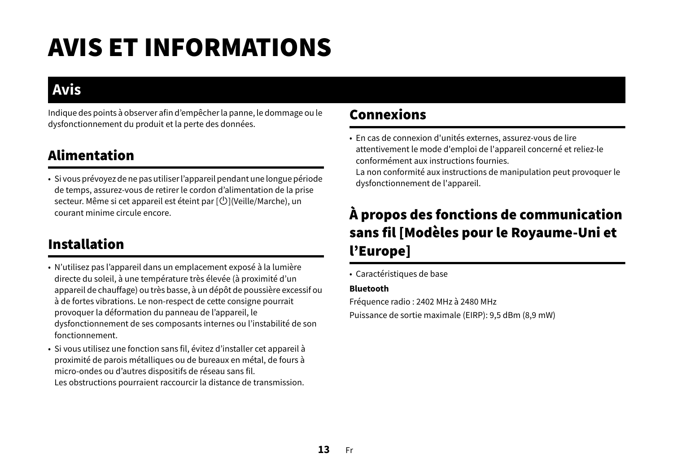# AVIS ET INFORMATIONS

# **Avis**

Indique des points à observer afin d'empêcher la panne, le dommage ou le dysfonctionnement du produit et la perte des données.

# Alimentation

• Si vous prévoyez de ne pas utiliser l'appareil pendant une longue période de temps, assurez-vous de retirer le cordon d'alimentation de la prise secteur. Même si cet appareil est éteint par  $[\bigcup]$ (Veille/Marche), un courant minime circule encore.

# Installation

- N'utilisez pas l'appareil dans un emplacement exposé à la lumière directe du soleil, à une température très élevée (à proximité d'un appareil de chauffage) ou très basse, à un dépôt de poussière excessif ou à de fortes vibrations. Le non-respect de cette consigne pourrait provoquer la déformation du panneau de l'appareil, le dysfonctionnement de ses composants internes ou l'instabilité de son fonctionnement.
- Si vous utilisez une fonction sans fil, évitez d'installer cet appareil à proximité de parois métalliques ou de bureaux en métal, de fours à micro-ondes ou d'autres dispositifs de réseau sans fil.

Les obstructions pourraient raccourcir la distance de transmission.

# Connexions

• En cas de connexion d'unités externes, assurez-vous de lire attentivement le mode d'emploi de l'appareil concerné et reliez-le conformément aux instructions fournies.

La non conformité aux instructions de manipulation peut provoquer le dysfonctionnement de l'appareil.

# À propos des fonctions de communication sans fil [Modèles pour le Royaume-Uni et l'Europe]

• Caractéristiques de base

#### **Bluetooth**

Fréquence radio : 2402 MHz à 2480 MHz

Puissance de sortie maximale (EIRP): 9,5 dBm (8,9 mW)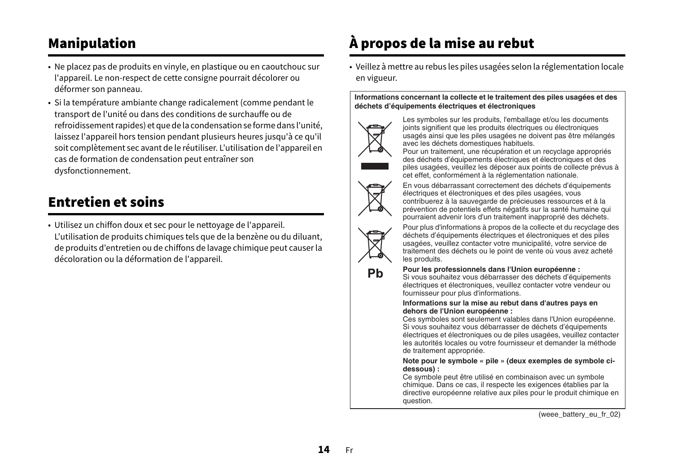# Manipulation

- Ne placez pas de produits en vinyle, en plastique ou en caoutchouc sur l'appareil. Le non-respect de cette consigne pourrait décolorer ou déformer son panneau.
- Si la température ambiante change radicalement (comme pendant le transport de l'unité ou dans des conditions de surchauffe ou de refroidissement rapides) et que de la condensation se forme dans l'unité, laissez l'appareil hors tension pendant plusieurs heures jusqu'à ce qu'il soit complètement sec avant de le réutiliser. L'utilisation de l'appareil en cas de formation de condensation peut entraîner son dysfonctionnement.

# Entretien et soins

• Utilisez un chiffon doux et sec pour le nettoyage de l'appareil. L'utilisation de produits chimiques tels que de la benzène ou du diluant, de produits d'entretien ou de chiffons de lavage chimique peut causer la décoloration ou la déformation de l'appareil.

# À propos de la mise au rebut

• Veillez à mettre au rebus les piles usagées selon la réglementation locale en vigueur.

**Informations concernant la collecte et le traitement des piles usagées et des déchets d'équipements électriques et électroniques**



Les symboles sur les produits, l'emballage et/ou les documents joints signifient que les produits électriques ou électroniques usagés ainsi que les piles usagées ne doivent pas être mélangés avec les déchets domestiques habituels.

Pour un traitement, une récupération et un recyclage appropriés des déchets d'équipements électriques et électroniques et des piles usagées, veuillez les déposer aux points de collecte prévus à cet effet, conformément à la réglementation nationale.



En vous débarrassant correctement des déchets d'équipements électriques et électroniques et des piles usagées, vous contribuerez à la sauvegarde de précieuses ressources et à la prévention de potentiels effets négatifs sur la santé humaine qui pourraient advenir lors d'un traitement inapproprié des déchets.



Pour plus d'informations à propos de la collecte et du recyclage des déchets d'équipements électriques et électroniques et des piles usagées, veuillez contacter votre municipalité, votre service de traitement des déchets ou le point de vente où vous avez acheté les produits.

#### **Pour les professionnels dans l'Union européenne :**

Si vous souhaitez vous débarrasser des déchets d'équipements électriques et électroniques, veuillez contacter votre vendeur ou fournisseur pour plus d'informations.

#### **Informations sur la mise au rebut dans d'autres pays en dehors de l'Union européenne :**

Ces symboles sont seulement valables dans l'Union européenne. Si vous souhaitez vous débarrasser de déchets d'équipements électriques et électroniques ou de piles usagées, veuillez contacter les autorités locales ou votre fournisseur et demander la méthode de traitement appropriée.

#### **Note pour le symbole « pile » (deux exemples de symbole cidessous) :**

Ce symbole peut être utilisé en combinaison avec un symbole chimique. Dans ce cas, il respecte les exigences établies par la directive européenne relative aux piles pour le produit chimique en question.

(weee battery eu fr\_02)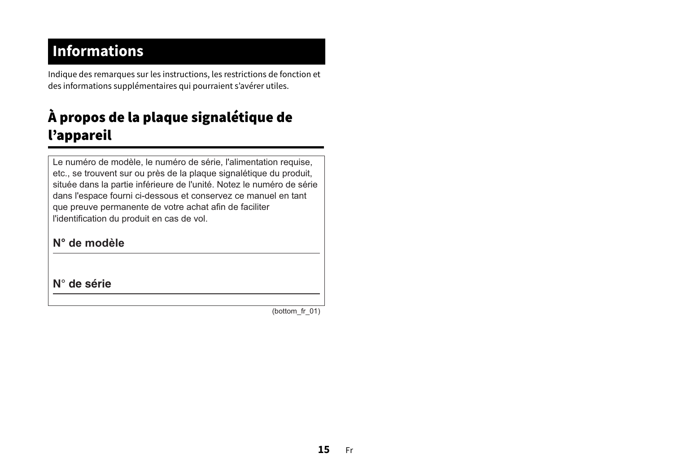# **Informations**

Indique des remarques sur les instructions, les restrictions de fonction et des informations supplémentaires qui pourraient s'avérer utiles.

# À propos de la plaque signalétique de l'appareil

Le numéro de modèle, le numéro de série, l'alimentation requise, etc., se trouvent sur ou près de la plaque signalétique du produit, située dans la partie inférieure de l'unité. Notez le numéro de série dans l'espace fourni ci-dessous et conservez ce manuel en tant que preuve permanente de votre achat afin de faciliter l'identification du produit en cas de vol.

### **N° de modèle**

**N° de série**

(bottom\_fr\_01)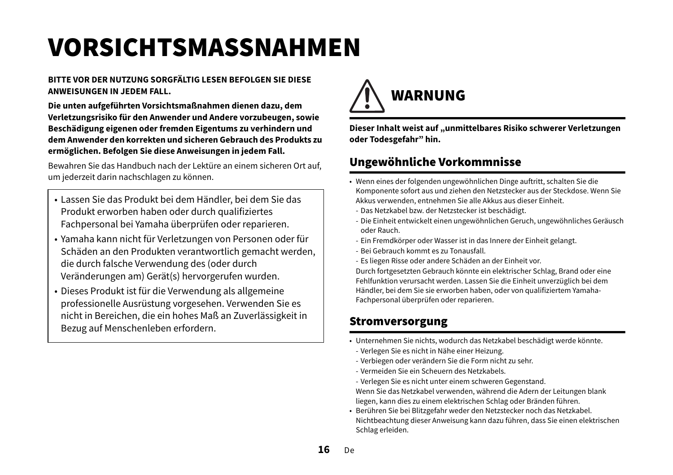# <span id="page-15-0"></span>VORSICHTSMASSNAHMEN

#### **BITTE VOR DER NUTZUNG SORGFÄLTIG LESEN BEFOLGEN SIE DIESE ANWEISUNGEN IN JEDEM FALL.**

**Die unten aufgeführten Vorsichtsmaßnahmen dienen dazu, dem Verletzungsrisiko für den Anwender und Andere vorzubeugen, sowie Beschädigung eigenen oder fremden Eigentums zu verhindern und dem Anwender den korrekten und sicheren Gebrauch des Produkts zu ermöglichen. Befolgen Sie diese Anweisungen in jedem Fall.**

Bewahren Sie das Handbuch nach der Lektüre an einem sicheren Ort auf, um jederzeit darin nachschlagen zu können.

- Lassen Sie das Produkt bei dem Händler, bei dem Sie das Produkt erworben haben oder durch qualifiziertes Fachpersonal bei Yamaha überprüfen oder reparieren.
- Yamaha kann nicht für Verletzungen von Personen oder für Schäden an den Produkten verantwortlich gemacht werden, die durch falsche Verwendung des (oder durch Veränderungen am) Gerät(s) hervorgerufen wurden.
- Dieses Produkt ist für die Verwendung als allgemeine professionelle Ausrüstung vorgesehen. Verwenden Sie es nicht in Bereichen, die ein hohes Maß an Zuverlässigkeit in Bezug auf Menschenleben erfordern.



**Dieser Inhalt weist auf "unmittelbares Risiko schwerer Verletzungen oder Todesgefahr" hin.**

### Ungewöhnliche Vorkommnisse

- Wenn eines der folgenden ungewöhnlichen Dinge auftritt, schalten Sie die Komponente sofort aus und ziehen den Netzstecker aus der Steckdose. Wenn Sie Akkus verwenden, entnehmen Sie alle Akkus aus dieser Einheit.
	- Das Netzkabel bzw. der Netzstecker ist beschädigt.
	- Die Einheit entwickelt einen ungewöhnlichen Geruch, ungewöhnliches Geräusch oder Rauch.
	- Ein Fremdkörper oder Wasser ist in das Innere der Einheit gelangt.
	- Bei Gebrauch kommt es zu Tonausfall.
	- Es liegen Risse oder andere Schäden an der Einheit vor.

Durch fortgesetzten Gebrauch könnte ein elektrischer Schlag, Brand oder eine Fehlfunktion verursacht werden. Lassen Sie die Einheit unverzüglich bei dem Händler, bei dem Sie sie erworben haben, oder von qualifiziertem Yamaha-Fachpersonal überprüfen oder reparieren.

### Stromversorgung

- Unternehmen Sie nichts, wodurch das Netzkabel beschädigt werde könnte.
- Verlegen Sie es nicht in Nähe einer Heizung.
- Verbiegen oder verändern Sie die Form nicht zu sehr.
- Vermeiden Sie ein Scheuern des Netzkabels.
- Verlegen Sie es nicht unter einem schweren Gegenstand.

Wenn Sie das Netzkabel verwenden, während die Adern der Leitungen blank liegen, kann dies zu einem elektrischen Schlag oder Bränden führen.

• Berühren Sie bei Blitzgefahr weder den Netzstecker noch das Netzkabel. Nichtbeachtung dieser Anweisung kann dazu führen, dass Sie einen elektrischen Schlag erleiden.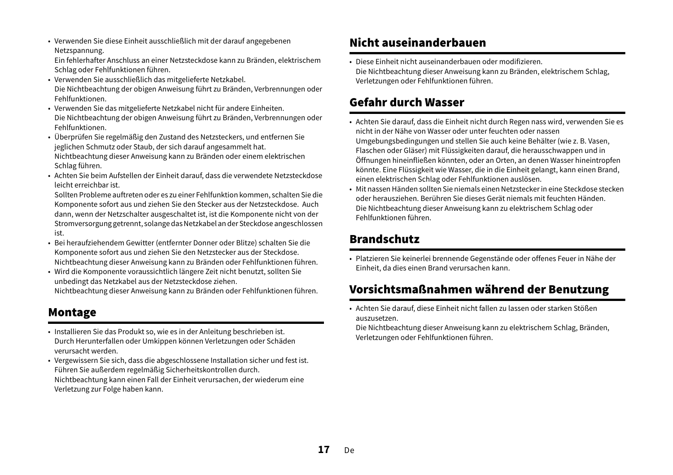• Verwenden Sie diese Einheit ausschließlich mit der darauf angegebenen Netzspannung.

Ein fehlerhafter Anschluss an einer Netzsteckdose kann zu Bränden, elektrischem Schlag oder Fehlfunktionen führen.

- Verwenden Sie ausschließlich das mitgelieferte Netzkabel. Die Nichtbeachtung der obigen Anweisung führt zu Bränden, Verbrennungen oder Fehlfunktionen.
- Verwenden Sie das mitgelieferte Netzkabel nicht für andere Einheiten. Die Nichtbeachtung der obigen Anweisung führt zu Bränden, Verbrennungen oder Fehlfunktionen.
- Überprüfen Sie regelmäßig den Zustand des Netzsteckers, und entfernen Sie jeglichen Schmutz oder Staub, der sich darauf angesammelt hat. Nichtbeachtung dieser Anweisung kann zu Bränden oder einem elektrischen Schlag führen.
- Achten Sie beim Aufstellen der Einheit darauf, dass die verwendete Netzsteckdose leicht erreichbar ist.

Sollten Probleme auftreten oder es zu einer Fehlfunktion kommen, schalten Sie die Komponente sofort aus und ziehen Sie den Stecker aus der Netzsteckdose. Auch dann, wenn der Netzschalter ausgeschaltet ist, ist die Komponente nicht von der Stromversorgung getrennt, solange das Netzkabel an der Steckdose angeschlossen ist.

- Bei heraufziehendem Gewitter (entfernter Donner oder Blitze) schalten Sie die Komponente sofort aus und ziehen Sie den Netzstecker aus der Steckdose. Nichtbeachtung dieser Anweisung kann zu Bränden oder Fehlfunktionen führen.
- Wird die Komponente voraussichtlich längere Zeit nicht benutzt, sollten Sie unbedingt das Netzkabel aus der Netzsteckdose ziehen. Nichtbeachtung dieser Anweisung kann zu Bränden oder Fehlfunktionen führen.

### Montage

• Installieren Sie das Produkt so, wie es in der Anleitung beschrieben ist. Durch Herunterfallen oder Umkippen können Verletzungen oder Schäden verursacht werden.

• Vergewissern Sie sich, dass die abgeschlossene Installation sicher und fest ist. Führen Sie außerdem regelmäßig Sicherheitskontrollen durch. Nichtbeachtung kann einen Fall der Einheit verursachen, der wiederum eine Verletzung zur Folge haben kann.

# Nicht auseinanderbauen

• Diese Einheit nicht auseinanderbauen oder modifizieren.Die Nichtbeachtung dieser Anweisung kann zu Bränden, elektrischem Schlag, Verletzungen oder Fehlfunktionen führen.

# Gefahr durch Wasser

- Achten Sie darauf, dass die Einheit nicht durch Regen nass wird, verwenden Sie es nicht in der Nähe von Wasser oder unter feuchten oder nassen Umgebungsbedingungen und stellen Sie auch keine Behälter (wie z. B. Vasen, Flaschen oder Gläser) mit Flüssigkeiten darauf, die herausschwappen und in Öffnungen hineinfließen könnten, oder an Orten, an denen Wasser hineintropfen könnte. Eine Flüssigkeit wie Wasser, die in die Einheit gelangt, kann einen Brand, einen elektrischen Schlag oder Fehlfunktionen auslösen.
- Mit nassen Händen sollten Sie niemals einen Netzstecker in eine Steckdose stecken oder herausziehen. Berühren Sie dieses Gerät niemals mit feuchten Händen.Die Nichtbeachtung dieser Anweisung kann zu elektrischem Schlag oder Fehlfunktionen führen.

# Brandschutz

• Platzieren Sie keinerlei brennende Gegenstände oder offenes Feuer in Nähe der Einheit, da dies einen Brand verursachen kann.

# Vorsichtsmaßnahmen während der Benutzung

• Achten Sie darauf, diese Einheit nicht fallen zu lassen oder starken Stößen auszusetzen.

Die Nichtbeachtung dieser Anweisung kann zu elektrischem Schlag, Bränden, Verletzungen oder Fehlfunktionen führen.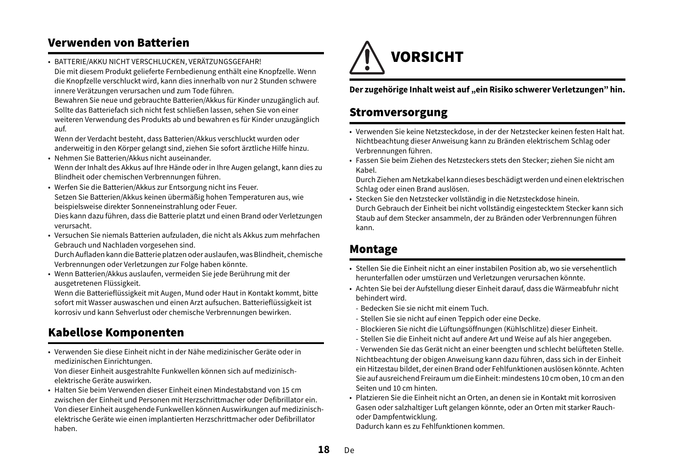### Verwenden von Batterien

• BATTERIE/AKKU NICHT VERSCHLUCKEN, VERÄTZUNGSGEFAHR! Die mit diesem Produkt gelieferte Fernbedienung enthält eine Knopfzelle. Wenn die Knopfzelle verschluckt wird, kann dies innerhalb von nur 2 Stunden schwere innere Verätzungen verursachen und zum Tode führen.

Bewahren Sie neue und gebrauchte Batterien/Akkus für Kinder unzugänglich auf. Sollte das Batteriefach sich nicht fest schließen lassen, sehen Sie von einer weiteren Verwendung des Produkts ab und bewahren es für Kinder unzugänglich auf.

Wenn der Verdacht besteht, dass Batterien/Akkus verschluckt wurden oder anderweitig in den Körper gelangt sind, ziehen Sie sofort ärztliche Hilfe hinzu.

- Nehmen Sie Batterien/Akkus nicht auseinander. Wenn der Inhalt des Akkus auf Ihre Hände oder in Ihre Augen gelangt, kann dies zu Blindheit oder chemischen Verbrennungen führen.
- Werfen Sie die Batterien/Akkus zur Entsorgung nicht ins Feuer. Setzen Sie Batterien/Akkus keinen übermäßig hohen Temperaturen aus, wie beispielsweise direkter Sonneneinstrahlung oder Feuer.

Dies kann dazu führen, dass die Batterie platzt und einen Brand oder Verletzungen verursacht.

• Versuchen Sie niemals Batterien aufzuladen, die nicht als Akkus zum mehrfachen Gebrauch und Nachladen vorgesehen sind.

Durch Aufladen kann die Batterie platzen oder auslaufen, was Blindheit, chemische Verbrennungen oder Verletzungen zur Folge haben könnte.

• Wenn Batterien/Akkus auslaufen, vermeiden Sie jede Berührung mit der ausgetretenen Flüssigkeit.

Wenn die Batterieflüssigkeit mit Augen, Mund oder Haut in Kontakt kommt, bitte sofort mit Wasser auswaschen und einen Arzt aufsuchen. Batterieflüssigkeit ist korrosiv und kann Sehverlust oder chemische Verbrennungen bewirken.

# Kabellose Komponenten

• Verwenden Sie diese Einheit nicht in der Nähe medizinischer Geräte oder in medizinischen Einrichtungen.

Von dieser Einheit ausgestrahlte Funkwellen können sich auf medizinischelektrische Geräte auswirken.

• Halten Sie beim Verwenden dieser Einheit einen Mindestabstand von 15 cm zwischen der Einheit und Personen mit Herzschrittmacher oder Defibrillator ein.Von dieser Einheit ausgehende Funkwellen können Auswirkungen auf medizinischelektrische Geräte wie einen implantierten Herzschrittmacher oder Defibrillator haben.



#### **Der zugehörige Inhalt weist auf "ein Risiko schwerer Verletzungen" hin.**

### Stromversorgung

- Verwenden Sie keine Netzsteckdose, in der der Netzstecker keinen festen Halt hat. Nichtbeachtung dieser Anweisung kann zu Bränden elektrischem Schlag oder Verbrennungen führen.
- Fassen Sie beim Ziehen des Netzsteckers stets den Stecker; ziehen Sie nicht am Kabel.

Durch Ziehen am Netzkabel kann dieses beschädigt werden und einen elektrischen Schlag oder einen Brand auslösen.

• Stecken Sie den Netzstecker vollständig in die Netzsteckdose hinein. Durch Gebrauch der Einheit bei nicht vollständig eingestecktem Stecker kann sich Staub auf dem Stecker ansammeln, der zu Bränden oder Verbrennungen führen kann.

### Montage

- Stellen Sie die Einheit nicht an einer instabilen Position ab, wo sie versehentlich herunterfallen oder umstürzen und Verletzungen verursachen könnte.
- Achten Sie bei der Aufstellung dieser Einheit darauf, dass die Wärmeabfuhr nicht behindert wird.
- Bedecken Sie sie nicht mit einem Tuch.
- Stellen Sie sie nicht auf einen Teppich oder eine Decke.
- Blockieren Sie nicht die Lüftungsöffnungen (Kühlschlitze) dieser Einheit.
- Stellen Sie die Einheit nicht auf andere Art und Weise auf als hier angegeben.
- Verwenden Sie das Gerät nicht an einer beengten und schlecht belüfteten Stelle. Nichtbeachtung der obigen Anweisung kann dazu führen, dass sich in der Einheit ein Hitzestau bildet, der einen Brand oder Fehlfunktionen auslösen könnte. Achten Sie auf ausreichend Freiraum um die Einheit: mindestens 10 cm oben, 10 cm an den Seiten und 10 cm hinten.
- Platzieren Sie die Einheit nicht an Orten, an denen sie in Kontakt mit korrosiven Gasen oder salzhaltiger Luft gelangen könnte, oder an Orten mit starker Rauchoder Dampfentwicklung.

Dadurch kann es zu Fehlfunktionen kommen.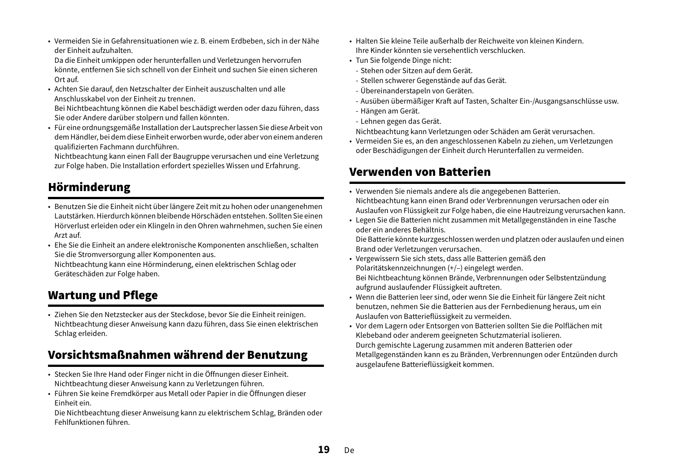• Vermeiden Sie in Gefahrensituationen wie z. B. einem Erdbeben, sich in der Nähe der Einheit aufzuhalten.

Da die Einheit umkippen oder herunterfallen und Verletzungen hervorrufen könnte, entfernen Sie sich schnell von der Einheit und suchen Sie einen sicheren Ort auf.

• Achten Sie darauf, den Netzschalter der Einheit auszuschalten und alle Anschlusskabel von der Einheit zu trennen.

Bei Nichtbeachtung können die Kabel beschädigt werden oder dazu führen, dass Sie oder Andere darüber stolpern und fallen könnten.

• Für eine ordnungsgemäße Installation der Lautsprecher lassen Sie diese Arbeit von dem Händler, bei dem diese Einheit erworben wurde, oder aber von einem anderen qualifizierten Fachmann durchführen.

Nichtbeachtung kann einen Fall der Baugruppe verursachen und eine Verletzung zur Folge haben. Die Installation erfordert spezielles Wissen und Erfahrung.

# Hörminderung

- Benutzen Sie die Einheit nicht über längere Zeit mit zu hohen oder unangenehmen Lautstärken. Hierdurch können bleibende Hörschäden entstehen. Sollten Sie einen Hörverlust erleiden oder ein Klingeln in den Ohren wahrnehmen, suchen Sie einen Arzt auf.
- Ehe Sie die Einheit an andere elektronische Komponenten anschließen, schalten Sie die Stromversorgung aller Komponenten aus.

Nichtbeachtung kann eine Hörminderung, einen elektrischen Schlag oder Geräteschäden zur Folge haben.

# Wartung und Pflege

• Ziehen Sie den Netzstecker aus der Steckdose, bevor Sie die Einheit reinigen. Nichtbeachtung dieser Anweisung kann dazu führen, dass Sie einen elektrischen Schlag erleiden.

### Vorsichtsmaßnahmen während der Benutzung

- Stecken Sie Ihre Hand oder Finger nicht in die Öffnungen dieser Einheit. Nichtbeachtung dieser Anweisung kann zu Verletzungen führen.
- Führen Sie keine Fremdkörper aus Metall oder Papier in die Öffnungen dieser Einheit ein.

Die Nichtbeachtung dieser Anweisung kann zu elektrischem Schlag, Bränden oder Fehlfunktionen führen.

- Halten Sie kleine Teile außerhalb der Reichweite von kleinen Kindern.Ihre Kinder könnten sie versehentlich verschlucken.
- Tun Sie folgende Dinge nicht:
	- Stehen oder Sitzen auf dem Gerät.
	- Stellen schwerer Gegenstände auf das Gerät.
	- Übereinanderstapeln von Geräten.
- Ausüben übermäßiger Kraft auf Tasten, Schalter Ein-/Ausgangsanschlüsse usw.
- Hängen am Gerät.
- Lehnen gegen das Gerät.

Nichtbeachtung kann Verletzungen oder Schäden am Gerät verursachen.

• Vermeiden Sie es, an den angeschlossenen Kabeln zu ziehen, um Verletzungen oder Beschädigungen der Einheit durch Herunterfallen zu vermeiden.

### Verwenden von Batterien

- Verwenden Sie niemals andere als die angegebenen Batterien. Nichtbeachtung kann einen Brand oder Verbrennungen verursachen oder ein Auslaufen von Flüssigkeit zur Folge haben, die eine Hautreizung verursachen kann.
- Legen Sie die Batterien nicht zusammen mit Metallgegenständen in eine Tasche oder ein anderes Behältnis.

Die Batterie könnte kurzgeschlossen werden und platzen oder auslaufen und einen Brand oder Verletzungen verursachen.

- Vergewissern Sie sich stets, dass alle Batterien gemäß den Polaritätskennzeichnungen (+/–) eingelegt werden. Bei Nichtbeachtung können Brände, Verbrennungen oder Selbstentzündung
- aufgrund auslaufender Flüssigkeit auftreten. • Wenn die Batterien leer sind, oder wenn Sie die Einheit für längere Zeit nicht benutzen, nehmen Sie die Batterien aus der Fernbedienung heraus, um ein Auslaufen von Batterieflüssigkeit zu vermeiden.
- Vor dem Lagern oder Entsorgen von Batterien sollten Sie die Polflächen mit Klebeband oder anderem geeigneten Schutzmaterial isolieren. Durch gemischte Lagerung zusammen mit anderen Batterien oder Metallgegenständen kann es zu Bränden, Verbrennungen oder Entzünden durch ausgelaufene Batterieflüssigkeit kommen.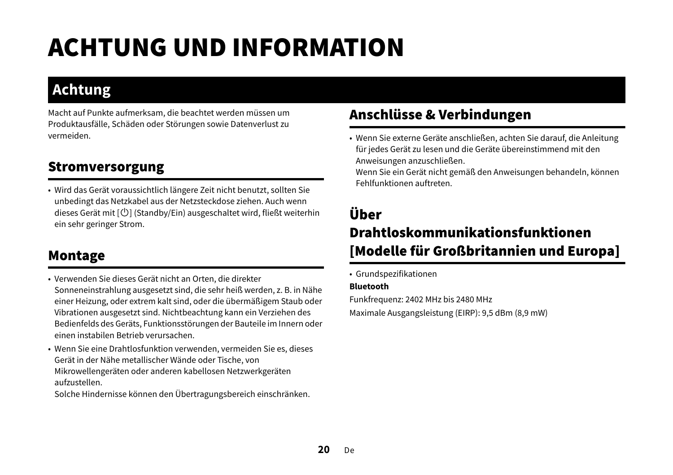# ACHTUNG UND INFORMATION

# **Achtung**

Macht auf Punkte aufmerksam, die beachtet werden müssen um Produktausfälle, Schäden oder Störungen sowie Datenverlust zu vermeiden.

# Stromversorgung

• Wird das Gerät voraussichtlich längere Zeit nicht benutzt, sollten Sie unbedingt das Netzkabel aus der Netzsteckdose ziehen. Auch wenn dieses Gerät mit [ $\bigcup$ ] (Standby/Ein) ausgeschaltet wird, fließt weiterhin ein sehr geringer Strom.

# Montage

- Verwenden Sie dieses Gerät nicht an Orten, die direkter Sonneneinstrahlung ausgesetzt sind, die sehr heiß werden, z. B. in Nähe einer Heizung, oder extrem kalt sind, oder die übermäßigem Staub oder Vibrationen ausgesetzt sind. Nichtbeachtung kann ein Verziehen des Bedienfelds des Geräts, Funktionsstörungen der Bauteile im Innern oder einen instabilen Betrieb verursachen.
- Wenn Sie eine Drahtlosfunktion verwenden, vermeiden Sie es, dieses Gerät in der Nähe metallischer Wände oder Tische, von Mikrowellengeräten oder anderen kabellosen Netzwerkgeräten aufzustellen.

Solche Hindernisse können den Übertragungsbereich einschränken.

# Anschlüsse & Verbindungen

• Wenn Sie externe Geräte anschließen, achten Sie darauf, die Anleitung für jedes Gerät zu lesen und die Geräte übereinstimmend mit den Anweisungen anzuschließen.

Wenn Sie ein Gerät nicht gemäß den Anweisungen behandeln, können Fehlfunktionen auftreten.

# Über Drahtloskommunikationsfunktionen [Modelle für Großbritannien und Europa]

• Grundspezifikationen

#### **Bluetooth**

Funkfrequenz: 2402 MHz bis 2480 MHz

Maximale Ausgangsleistung (EIRP): 9,5 dBm (8,9 mW)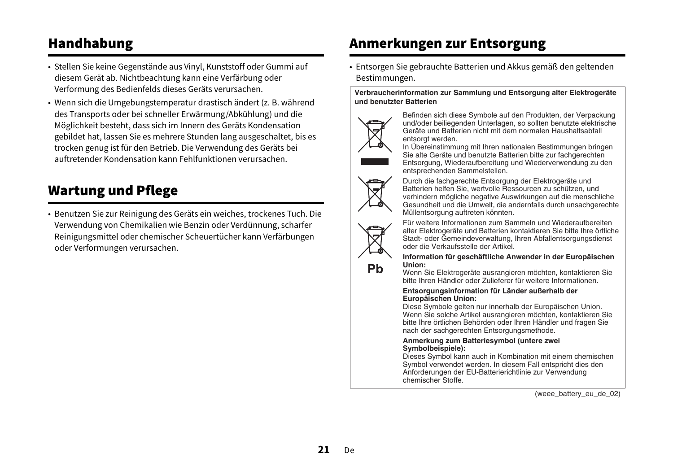# Handhabung

- Stellen Sie keine Gegenstände aus Vinyl, Kunststoff oder Gummi auf diesem Gerät ab. Nichtbeachtung kann eine Verfärbung oder Verformung des Bedienfelds dieses Geräts verursachen.
- Wenn sich die Umgebungstemperatur drastisch ändert (z. B. während des Transports oder bei schneller Erwärmung/Abkühlung) und die Möglichkeit besteht, dass sich im Innern des Geräts Kondensation gebildet hat, lassen Sie es mehrere Stunden lang ausgeschaltet, bis es trocken genug ist für den Betrieb. Die Verwendung des Geräts bei auftretender Kondensation kann Fehlfunktionen verursachen.

# Wartung und Pflege

• Benutzen Sie zur Reinigung des Geräts ein weiches, trockenes Tuch. Die Verwendung von Chemikalien wie Benzin oder Verdünnung, scharfer Reinigungsmittel oder chemischer Scheuertücher kann Verfärbungen oder Verformungen verursachen.

# Anmerkungen zur Entsorgung

• Entsorgen Sie gebrauchte Batterien und Akkus gemäß den geltenden Bestimmungen.

#### **Verbraucherinformation zur Sammlung und Entsorgung alter Elektrogeräte und benutzter Batterien**



Befinden sich diese Symbole auf den Produkten, der Verpackung und/oder beiliegenden Unterlagen, so sollten benutzte elektrische Geräte und Batterien nicht mit dem normalen Haushaltsabfall entsorgt werden.<br>In Übereinstimmung mit Ihren nationalen Bestimmungen bringen

Sie alte Geräte und benutzte Batterien bitte zur fachgerechten Entsorgung, Wiederaufbereitung und Wiederverwendung zu den entsprechenden Sammelstellen.



Durch die fachgerechte Entsorgung der Elektrogeräte und Batterien helfen Sie, wertvolle Ressourcen zu schützen, und verhindern mögliche negative Auswirkungen auf die menschliche Gesundheit und die Umwelt, die andernfalls durch unsachgerechte Müllentsorgung auftreten könnten.

Pb

Für weitere Informationen zum Sammeln und Wiederaufbereiten alter Elektrogeräte und Batterien kontaktieren Sie bitte Ihre örtliche Stadt- oder Gemeindeverwaltung, Ihren Abfallentsorgungsdienst oder die Verkaufsstelle der Artikel.

**Information für geschäftliche Anwender in der Europäischen Union:**

Wenn Sie Elektrogeräte ausrangieren möchten, kontaktieren Sie bitte Ihren Händler oder Zulieferer für weitere Informationen.

#### **Entsorgungsinformation für Länder außerhalb der Europäischen Union:**

Diese Symbole gelten nur innerhalb der Europäischen Union. Wenn Sie solche Artikel ausrangieren möchten, kontaktieren Sie bitte Ihre örtlichen Behörden oder Ihren Händler und fragen Sie nach der sachgerechten Entsorgungsmethode.

#### **Anmerkung zum Batteriesymbol (untere zwei Symbolbeispiele):**

Dieses Symbol kann auch in Kombination mit einem chemischen Symbol verwendet werden. In diesem Fall entspricht dies den Anforderungen der EU-Batterierichtlinie zur Verwendung chemischer Stoffe.

(weee\_battery\_eu\_de\_02)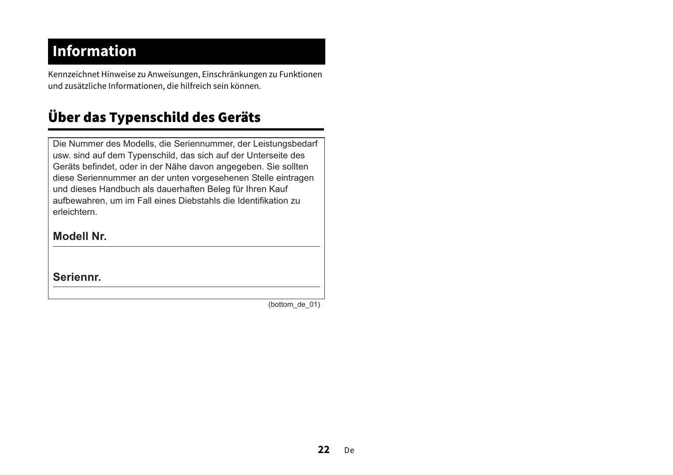# **Information**

Kennzeichnet Hinweise zu Anweisungen, Einschränkungen zu Funktionen und zusätzliche Informationen, die hilfreich sein können.

# Über das Typenschild des Geräts

Die Nummer des Modells, die Seriennummer, der Leistungsbedarf usw. sind auf dem Typenschild, das sich auf der Unterseite des Geräts befindet, oder in der Nähe davon angegeben. Sie sollten diese Seriennummer an der unten vorgesehenen Stelle eintragen und dieses Handbuch als dauerhaften Beleg für Ihren Kauf aufbewahren, um im Fall eines Diebstahls die Identifikation zu erleichtern.

#### **Modell Nr.**

**Seriennr.**

(bottom\_de\_01)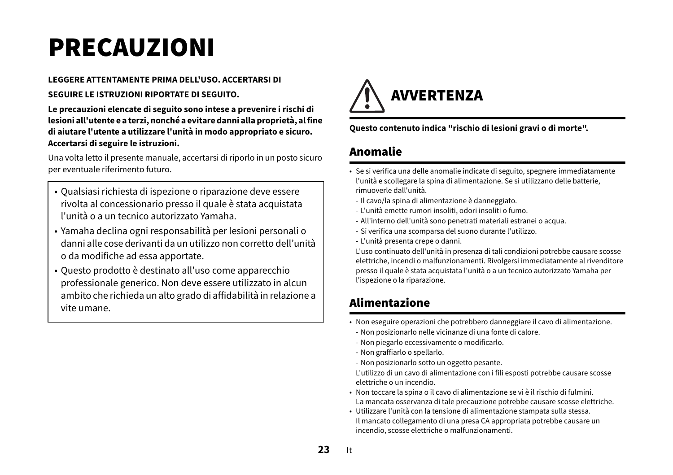# <span id="page-22-0"></span>PRECAUZIONI

# **LEGGERE ATTENTAMENTE PRIMA DELL'USO. ACCERTARSI DI**

#### **SEGUIRE LE ISTRUZIONI RIPORTATE DI SEGUITO.**

**Le precauzioni elencate di seguito sono intese a prevenire i rischi di lesioni all'utente e a terzi, nonché a evitare danni alla proprietà, al fine di aiutare l'utente a utilizzare l'unità in modo appropriato e sicuro. Accertarsi di seguire le istruzioni.**

Una volta letto il presente manuale, accertarsi di riporlo in un posto sicuro per eventuale riferimento futuro.

- Qualsiasi richiesta di ispezione o riparazione deve essere rivolta al concessionario presso il quale è stata acquistata l'unità o a un tecnico autorizzato Yamaha.
- Yamaha declina ogni responsabilità per lesioni personali o danni alle cose derivanti da un utilizzo non corretto dell'unità o da modifiche ad essa apportate.
- Questo prodotto è destinato all'uso come apparecchio professionale generico. Non deve essere utilizzato in alcun ambito che richieda un alto grado di affidabilità in relazione a vite umane.



**Questo contenuto indica "rischio di lesioni gravi o di morte".**

# Anomalie

- Se si verifica una delle anomalie indicate di seguito, spegnere immediatamente l'unità e scollegare la spina di alimentazione. Se si utilizzano delle batterie, rimuoverle dall'unità.
- Il cavo/la spina di alimentazione è danneggiato.
- L'unità emette rumori insoliti, odori insoliti o fumo.
- All'interno dell'unità sono penetrati materiali estranei o acqua.
- Si verifica una scomparsa del suono durante l'utilizzo.
- L'unità presenta crepe o danni.

L'uso continuato dell'unità in presenza di tali condizioni potrebbe causare scosse elettriche, incendi o malfunzionamenti. Rivolgersi immediatamente al rivenditore presso il quale è stata acquistata l'unità o a un tecnico autorizzato Yamaha per l'ispezione o la riparazione.

# Alimentazione

- Non eseguire operazioni che potrebbero danneggiare il cavo di alimentazione.
- Non posizionarlo nelle vicinanze di una fonte di calore.
- Non piegarlo eccessivamente o modificarlo.
- Non graffiarlo o spellarlo.
- Non posizionarlo sotto un oggetto pesante.

L'utilizzo di un cavo di alimentazione con i fili esposti potrebbe causare scosse elettriche o un incendio.

- Non toccare la spina o il cavo di alimentazione se vi è il rischio di fulmini. La mancata osservanza di tale precauzione potrebbe causare scosse elettriche.
- Utilizzare l'unità con la tensione di alimentazione stampata sulla stessa. Il mancato collegamento di una presa CA appropriata potrebbe causare un incendio, scosse elettriche o malfunzionamenti.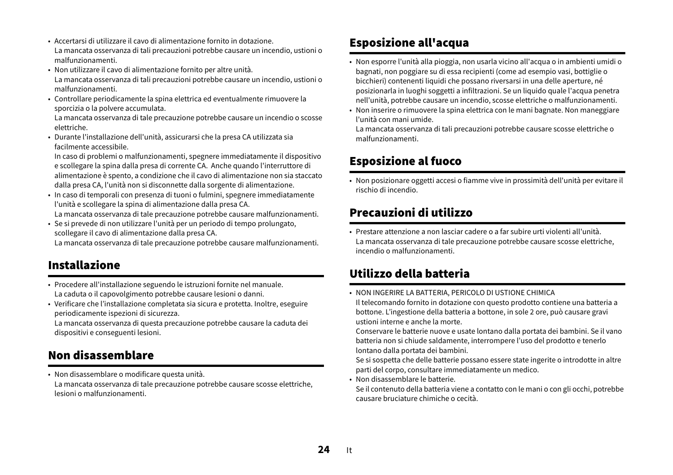- Accertarsi di utilizzare il cavo di alimentazione fornito in dotazione. La mancata osservanza di tali precauzioni potrebbe causare un incendio, ustioni o malfunzionamenti.
- Non utilizzare il cavo di alimentazione fornito per altre unità. La mancata osservanza di tali precauzioni potrebbe causare un incendio, ustioni o malfunzionamenti.
- Controllare periodicamente la spina elettrica ed eventualmente rimuovere la sporcizia o la polvere accumulata.

La mancata osservanza di tale precauzione potrebbe causare un incendio o scosse elettriche.

 • Durante l'installazione dell'unità, assicurarsi che la presa CA utilizzata sia facilmente accessibile.

In caso di problemi o malfunzionamenti, spegnere immediatamente il dispositivo e scollegare la spina dalla presa di corrente CA. Anche quando l'interruttore di alimentazione è spento, a condizione che il cavo di alimentazione non sia staccato dalla presa CA, l'unità non si disconnette dalla sorgente di alimentazione.

• In caso di temporali con presenza di tuoni o fulmini, spegnere immediatamente l'unità e scollegare la spina di alimentazione dalla presa CA. La mancata osservanza di tale precauzione potrebbe causare malfunzionamenti.

• Se si prevede di non utilizzare l'unità per un periodo di tempo prolungato, scollegare il cavo di alimentazione dalla presa CA.

La mancata osservanza di tale precauzione potrebbe causare malfunzionamenti.

# Installazione

- Procedere all'installazione seguendo le istruzioni fornite nel manuale. La caduta o il capovolgimento potrebbe causare lesioni o danni.
- Verificare che l'installazione completata sia sicura e protetta. Inoltre, eseguire periodicamente ispezioni di sicurezza.

La mancata osservanza di questa precauzione potrebbe causare la caduta dei dispositivi e conseguenti lesioni.

### Non disassemblare

• Non disassemblare o modificare questa unità. La mancata osservanza di tale precauzione potrebbe causare scosse elettriche, lesioni o malfunzionamenti.

# Esposizione all'acqua

- Non esporre l'unità alla pioggia, non usarla vicino all'acqua o in ambienti umidi o bagnati, non poggiare su di essa recipienti (come ad esempio vasi, bottiglie o bicchieri) contenenti liquidi che possano riversarsi in una delle aperture, né posizionarla in luoghi soggetti a infiltrazioni. Se un liquido quale l'acqua penetra nell'unità, potrebbe causare un incendio, scosse elettriche o malfunzionamenti.
- Non inserire o rimuovere la spina elettrica con le mani bagnate. Non maneggiare l'unità con mani umide.

La mancata osservanza di tali precauzioni potrebbe causare scosse elettriche o malfunzionamenti.

### Esposizione al fuoco

• Non posizionare oggetti accesi o fiamme vive in prossimità dell'unità per evitare il rischio di incendio.

### Precauzioni di utilizzo

• Prestare attenzione a non lasciar cadere o a far subire urti violenti all'unità.La mancata osservanza di tale precauzione potrebbe causare scosse elettriche, incendio o malfunzionamenti.

# Utilizzo della batteria

• NON INGERIRE LA BATTERIA, PERICOLO DI USTIONE CHIMICA

Il telecomando fornito in dotazione con questo prodotto contiene una batteria a bottone. L'ingestione della batteria a bottone, in sole 2 ore, può causare gravi ustioni interne e anche la morte.

Conservare le batterie nuove e usate lontano dalla portata dei bambini. Se il vano batteria non si chiude saldamente, interrompere l'uso del prodotto e tenerlo lontano dalla portata dei bambini.

Se si sospetta che delle batterie possano essere state ingerite o introdotte in altre parti del corpo, consultare immediatamente un medico.

• Non disassemblare le batterie.

Se il contenuto della batteria viene a contatto con le mani o con gli occhi, potrebbe causare bruciature chimiche o cecità.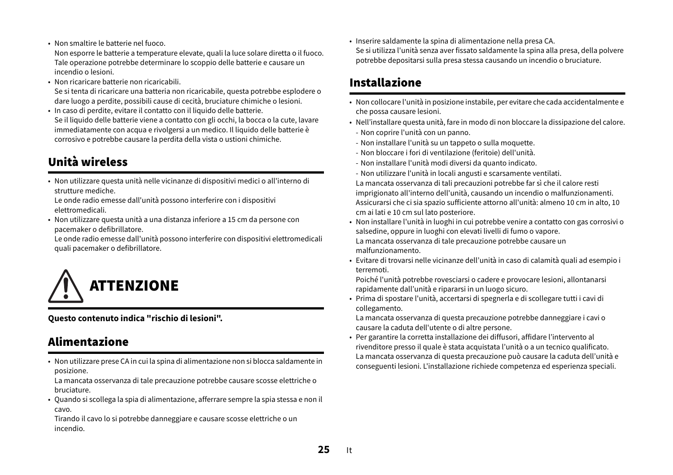• Non smaltire le batterie nel fuoco.

Non esporre le batterie a temperature elevate, quali la luce solare diretta o il fuoco. Tale operazione potrebbe determinare lo scoppio delle batterie e causare un incendio o lesioni.

- Non ricaricare batterie non ricaricabili.Se si tenta di ricaricare una batteria non ricaricabile, questa potrebbe esplodere o
- dare luogo a perdite, possibili cause di cecità, bruciature chimiche o lesioni. • In caso di perdite, evitare il contatto con il liquido delle batterie. Se il liquido delle batterie viene a contatto con gli occhi, la bocca o la cute, lavare immediatamente con acqua e rivolgersi a un medico. Il liquido delle batterie è corrosivo e potrebbe causare la perdita della vista o ustioni chimiche.

# Unità wireless

• Non utilizzare questa unità nelle vicinanze di dispositivi medici o all'interno di strutture mediche.

Le onde radio emesse dall'unità possono interferire con i dispositivi elettromedicali.

• Non utilizzare questa unità a una distanza inferiore a 15 cm da persone con pacemaker o defibrillatore.

Le onde radio emesse dall'unità possono interferire con dispositivi elettromedicali quali pacemaker o defibrillatore.



**Questo contenuto indica "rischio di lesioni".**

### Alimentazione

• Non utilizzare prese CA in cui la spina di alimentazione non si blocca saldamente in posizione.

La mancata osservanza di tale precauzione potrebbe causare scosse elettriche o bruciature.

• Quando si scollega la spia di alimentazione, afferrare sempre la spia stessa e non il cavo.

Tirando il cavo lo si potrebbe danneggiare e causare scosse elettriche o un incendio.

• Inserire saldamente la spina di alimentazione nella presa CA. Se si utilizza l'unità senza aver fissato saldamente la spina alla presa, della polvere potrebbe depositarsi sulla presa stessa causando un incendio o bruciature.

### Installazione

- Non collocare l'unità in posizione instabile, per evitare che cada accidentalmente e che possa causare lesioni.
- Nell'installare questa unità, fare in modo di non bloccare la dissipazione del calore.
- Non coprire l'unità con un panno.
- Non installare l'unità su un tappeto o sulla moquette.
- Non bloccare i fori di ventilazione (feritoie) dell'unità.
- Non installare l'unità modi diversi da quanto indicato.
- Non utilizzare l'unità in locali angusti e scarsamente ventilati.
- La mancata osservanza di tali precauzioni potrebbe far sì che il calore resti imprigionato all'interno dell'unità, causando un incendio o malfunzionamenti. Assicurarsi che ci sia spazio sufficiente attorno all'unità: almeno 10 cm in alto, 10 cm ai lati e 10 cm sul lato posteriore.
- Non installare l'unità in luoghi in cui potrebbe venire a contatto con gas corrosivi o salsedine, oppure in luoghi con elevati livelli di fumo o vapore. La mancata osservanza di tale precauzione potrebbe causare un malfunzionamento.
- Evitare di trovarsi nelle vicinanze dell'unità in caso di calamità quali ad esempio i terremoti.

Poiché l'unità potrebbe rovesciarsi o cadere e provocare lesioni, allontanarsi rapidamente dall'unità e ripararsi in un luogo sicuro.

• Prima di spostare l'unità, accertarsi di spegnerla e di scollegare tutti i cavi di collegamento.

La mancata osservanza di questa precauzione potrebbe danneggiare i cavi o causare la caduta dell'utente o di altre persone.

• Per garantire la corretta installazione dei diffusori, affidare l'intervento al rivenditore presso il quale è stata acquistata l'unità o a un tecnico qualificato. La mancata osservanza di questa precauzione può causare la caduta dell'unità e conseguenti lesioni. L'installazione richiede competenza ed esperienza speciali.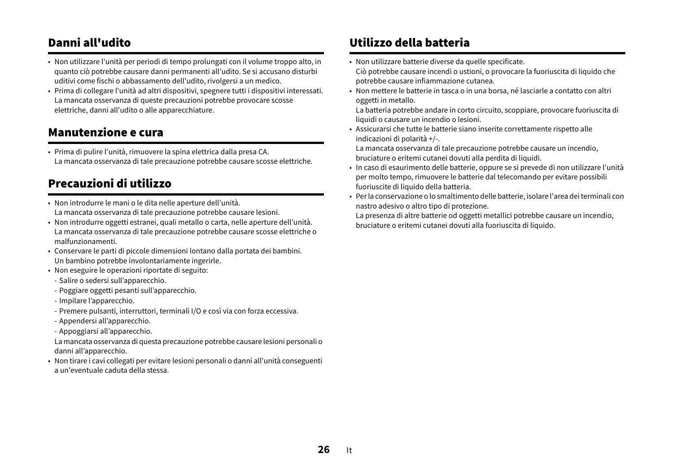### Danni all'udito

- Non utilizzare l'unità per periodi di tempo prolungati con il volume troppo alto, in quanto ciò potrebbe causare danni permanenti all'udito. Se si accusano disturbi uditivi come fischi o abbassamento dell'udito, rivolgersi a un medico.
- Prima di collegare l'unità ad altri dispositivi, spegnere tutti i dispositivi interessati. La mancata osservanza di queste precauzioni potrebbe provocare scosse elettriche, danni all'udito o alle apparecchiature.

### Manutenzione e cura

• Prima di pulire l'unità, rimuovere la spina elettrica dalla presa CA. La mancata osservanza di tale precauzione potrebbe causare scosse elettriche.

### Precauzioni di utilizzo

- Non introdurre le mani o le dita nelle aperture dell'unità. La mancata osservanza di tale precauzione potrebbe causare lesioni.
- Non introdurre oggetti estranei, quali metallo o carta, nelle aperture dell'unità. La mancata osservanza di tale precauzione potrebbe causare scosse elettriche o malfunzionamenti.
- Conservare le parti di piccole dimensioni lontano dalla portata dei bambini. Un bambino potrebbe involontariamente ingerirle.
- Non eseguire le operazioni riportate di seguito:
- Salire o sedersi sull'apparecchio.
- Poggiare oggetti pesanti sull'apparecchio.
- Impilare l'apparecchio.
- Premere pulsanti, interruttori, terminali I/O e così via con forza eccessiva.
- Appendersi all'apparecchio.
- Appoggiarsi all'apparecchio.

La mancata osservanza di questa precauzione potrebbe causare lesioni personali o danni all'apparecchio.

• Non tirare i cavi collegati per evitare lesioni personali o danni all'unità conseguenti a un'eventuale caduta della stessa.

# Utilizzo della batteria

- Non utilizzare batterie diverse da quelle specificate. Ciò potrebbe causare incendi o ustioni, o provocare la fuoriuscita di liquido che potrebbe causare infiammazione cutanea.
- Non mettere le batterie in tasca o in una borsa, né lasciarle a contatto con altri oggetti in metallo.

La batteria potrebbe andare in corto circuito, scoppiare, provocare fuoriuscita di liquidi o causare un incendio o lesioni.

• Assicurarsi che tutte le batterie siano inserite correttamente rispetto alle indicazioni di polarità +/-.

La mancata osservanza di tale precauzione potrebbe causare un incendio, bruciature o eritemi cutanei dovuti alla perdita di liquidi.

- In caso di esaurimento delle batterie, oppure se si prevede di non utilizzare l'unità per molto tempo, rimuovere le batterie dal telecomando per evitare possibili fuoriuscite di liquido della batteria.
- Per la conservazione o lo smaltimento delle batterie, isolare l'area dei terminali con nastro adesivo o altro tipo di protezione.

La presenza di altre batterie od oggetti metallici potrebbe causare un incendio, bruciature o eritemi cutanei dovuti alla fuoriuscita di liquido.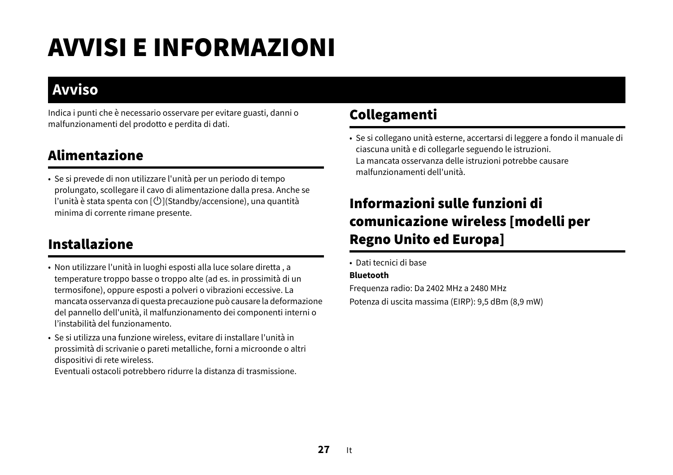# AVVISI E INFORMAZIONI

# **Avviso**

Indica i punti che è necessario osservare per evitare guasti, danni o malfunzionamenti del prodotto e perdita di dati.

# Alimentazione

• Se si prevede di non utilizzare l'unità per un periodo di tempo prolungato, scollegare il cavo di alimentazione dalla presa. Anche se l'unità è stata spenta con  $[\bigcup]$ (Standby/accensione), una quantità minima di corrente rimane presente.

# Installazione

- Non utilizzare l'unità in luoghi esposti alla luce solare diretta , a temperature troppo basse o troppo alte (ad es. in prossimità di un termosifone), oppure esposti a polveri o vibrazioni eccessive. La mancata osservanza di questa precauzione può causare la deformazione del pannello dell'unità, il malfunzionamento dei componenti interni o l'instabilità del funzionamento.
- Se si utilizza una funzione wireless, evitare di installare l'unità in prossimità di scrivanie o pareti metalliche, forni a microonde o altri dispositivi di rete wireless.

Eventuali ostacoli potrebbero ridurre la distanza di trasmissione.

# Collegamenti

• Se si collegano unità esterne, accertarsi di leggere a fondo il manuale di ciascuna unità e di collegarle seguendo le istruzioni. La mancata osservanza delle istruzioni potrebbe causare malfunzionamenti dell'unità.

# Informazioni sulle funzioni di comunicazione wireless [modelli per Regno Unito ed Europa]

• Dati tecnici di base

#### **Bluetooth**

Frequenza radio: Da 2402 MHz a 2480 MHz Potenza di uscita massima (EIRP): 9,5 dBm (8,9 mW)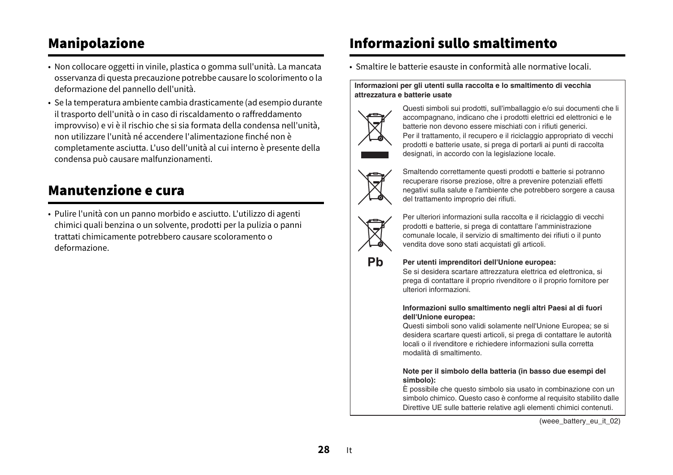# Manipolazione

- Non collocare oggetti in vinile, plastica o gomma sull'unità. La mancata osservanza di questa precauzione potrebbe causare lo scolorimento o la deformazione del pannello dell'unità.
- Se la temperatura ambiente cambia drasticamente (ad esempio durante il trasporto dell'unità o in caso di riscaldamento o raffreddamento improvviso) e vi è il rischio che si sia formata della condensa nell'unità, non utilizzare l'unità né accendere l'alimentazione finché non è completamente asciutta. L'uso dell'unità al cui interno è presente della condensa può causare malfunzionamenti.

# Manutenzione e cura

• Pulire l'unità con un panno morbido e asciutto. L'utilizzo di agenti chimici quali benzina o un solvente, prodotti per la pulizia o panni trattati chimicamente potrebbero causare scoloramento o deformazione.

# Informazioni sullo smaltimento

• Smaltire le batterie esauste in conformità alle normative locali.

#### **Informazioni per gli utenti sulla raccolta e lo smaltimento di vecchia attrezzatura e batterie usate**



Questi simboli sui prodotti, sull'imballaggio e/o sui documenti che li accompagnano, indicano che i prodotti elettrici ed elettronici e le batterie non devono essere mischiati con i rifiuti generici. Per il trattamento, il recupero e il riciclaggio appropriato di vecchi prodotti e batterie usate, si prega di portarli ai punti di raccolta designati, in accordo con la legislazione locale.



Smaltendo correttamente questi prodotti e batterie si potranno recuperare risorse preziose, oltre a prevenire potenziali effetti negativi sulla salute e l'ambiente che potrebbero sorgere a causa del trattamento improprio dei rifiuti.



Pb

Per ulteriori informazioni sulla raccolta e il riciclaggio di vecchi prodotti e batterie, si prega di contattare l'amministrazione comunale locale, il servizio di smaltimento dei rifiuti o il punto vendita dove sono stati acquistati gli articoli.

#### **Per utenti imprenditori dell'Unione europea:**

Se si desidera scartare attrezzatura elettrica ed elettronica, si prega di contattare il proprio rivenditore o il proprio fornitore per ulteriori informazioni.

#### **Informazioni sullo smaltimento negli altri Paesi al di fuori dell'Unione europea:**

Questi simboli sono validi solamente nell'Unione Europea; se si desidera scartare questi articoli, si prega di contattare le autorità locali o il rivenditore e richiedere informazioni sulla corretta modalità di smaltimento.

#### **Note per il simbolo della batteria (in basso due esempi del simbolo):**

È possibile che questo simbolo sia usato in combinazione con un simbolo chimico. Questo caso è conforme al requisito stabilito dalle Direttive UE sulle batterie relative agli elementi chimici contenuti.

(weee\_battery\_eu\_it\_02)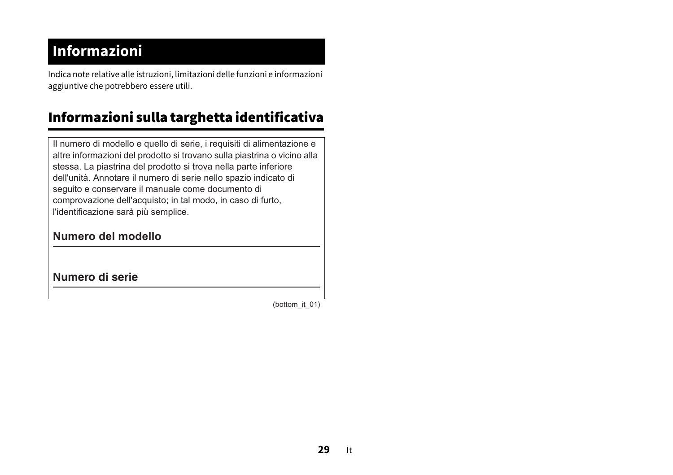# **Informazioni**

Indica note relative alle istruzioni, limitazioni delle funzioni e informazioni aggiuntive che potrebbero essere utili.

# Informazioni sulla targhetta identificativa

Il numero di modello e quello di serie, i requisiti di alimentazione e altre informazioni del prodotto si trovano sulla piastrina o vicino alla stessa. La piastrina del prodotto si trova nella parte inferiore dell'unità. Annotare il numero di serie nello spazio indicato di seguito e conservare il manuale come documento di comprovazione dell'acquisto; in tal modo, in caso di furto, l'identificazione sarà più semplice.

#### **Numero del modello**

**Numero di serie**

(bottom\_it\_01)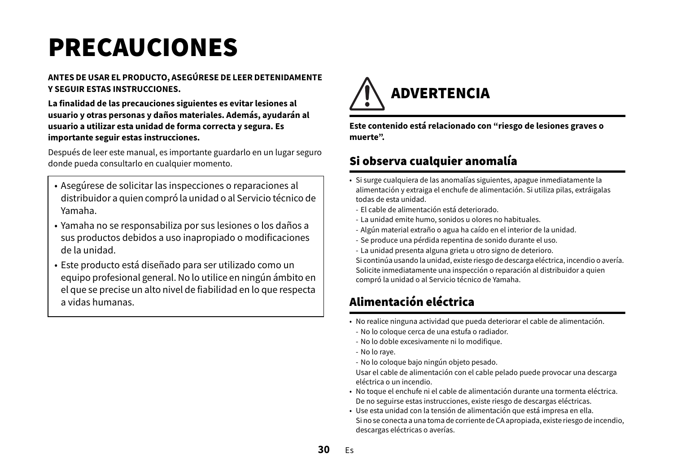# <span id="page-29-0"></span>PRECAUCIONES

#### **ANTES DE USAR EL PRODUCTO, ASEGÚRESE DE LEER DETENIDAMENTE Y SEGUIR ESTAS INSTRUCCIONES.**

**La finalidad de las precauciones siguientes es evitar lesiones al usuario y otras personas y daños materiales. Además, ayudarán al usuario a utilizar esta unidad de forma correcta y segura. Es importante seguir estas instrucciones.**

Después de leer este manual, es importante guardarlo en un lugar seguro donde pueda consultarlo en cualquier momento.

- Asegúrese de solicitar las inspecciones o reparaciones al distribuidor a quien compró la unidad o al Servicio técnico de Yamaha.
- Yamaha no se responsabiliza por sus lesiones o los daños a sus productos debidos a uso inapropiado o modificaciones de la unidad.
- Este producto está diseñado para ser utilizado como un equipo profesional general. No lo utilice en ningún ámbito en el que se precise un alto nivel de fiabilidad en lo que respecta a vidas humanas.



**Este contenido está relacionado con "riesgo de lesiones graves o muerte".**

## Si observa cualquier anomalía

- Si surge cualquiera de las anomalías siguientes, apague inmediatamente la alimentación y extraiga el enchufe de alimentación. Si utiliza pilas, extráigalas todas de esta unidad.
	- El cable de alimentación está deteriorado.
	- La unidad emite humo, sonidos u olores no habituales.
	- Algún material extraño o agua ha caído en el interior de la unidad.
	- Se produce una pérdida repentina de sonido durante el uso.
	- La unidad presenta alguna grieta u otro signo de deterioro.

Si continúa usando la unidad, existe riesgo de descarga eléctrica, incendio o avería. Solicite inmediatamente una inspección o reparación al distribuidor a quien compró la unidad o al Servicio técnico de Yamaha.

# Alimentación eléctrica

- No realice ninguna actividad que pueda deteriorar el cable de alimentación.
	- No lo coloque cerca de una estufa o radiador.
- No lo doble excesivamente ni lo modifique.
- No lo raye.
- No lo coloque bajo ningún objeto pesado.

Usar el cable de alimentación con el cable pelado puede provocar una descarga eléctrica o un incendio.

- No toque el enchufe ni el cable de alimentación durante una tormenta eléctrica. De no seguirse estas instrucciones, existe riesgo de descargas eléctricas.
- Use esta unidad con la tensión de alimentación que está impresa en ella. Si no se conecta a una toma de corriente de CA apropiada, existe riesgo de incendio, descargas eléctricas o averías.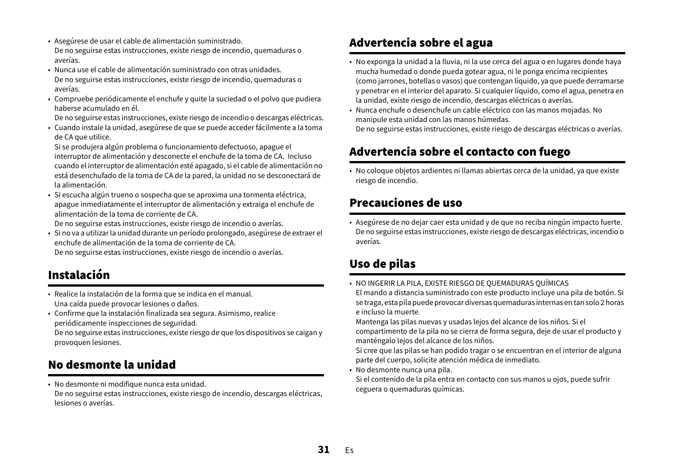- Asegúrese de usar el cable de alimentación suministrado. De no seguirse estas instrucciones, existe riesgo de incendio, quemaduras o averías.
- Nunca use el cable de alimentación suministrado con otras unidades.De no seguirse estas instrucciones, existe riesgo de incendio, quemaduras o averías.
- Compruebe periódicamente el enchufe y quite la suciedad o el polvo que pudiera haberse acumulado en él.

De no seguirse estas instrucciones, existe riesgo de incendio o descargas eléctricas.

• Cuando instale la unidad, asegúrese de que se puede acceder fácilmente a la toma de CA que utilice.

Si se produjera algún problema o funcionamiento defectuoso, apague el interruptor de alimentación y desconecte el enchufe de la toma de CA. Incluso cuando el interruptor de alimentación esté apagado, si el cable de alimentación no está desenchufado de la toma de CA de la pared, la unidad no se desconectará de la alimentación.

• Si escucha algún trueno o sospecha que se aproxima una tormenta eléctrica, apague inmediatamente el interruptor de alimentación y extraiga el enchufe de alimentación de la toma de corriente de CA.

De no seguirse estas instrucciones, existe riesgo de incendio o averías.

• Si no va a utilizar la unidad durante un período prolongado, asegúrese de extraer el enchufe de alimentación de la toma de corriente de CA.De no seguirse estas instrucciones, existe riesgo de incendio o averías.

# Instalación

- Realice la instalación de la forma que se indica en el manual. Una caída puede provocar lesiones o daños.
- Confirme que la instalación finalizada sea segura. Asimismo, realice periódicamente inspecciones de seguridad.

De no seguirse estas instrucciones, existe riesgo de que los dispositivos se caigan y provoquen lesiones.

### No desmonte la unidad

- No desmonte ni modifique nunca esta unidad.
- De no seguirse estas instrucciones, existe riesgo de incendio, descargas eléctricas, lesiones o averías.

### Advertencia sobre el agua

- No exponga la unidad a la lluvia, ni la use cerca del agua o en lugares donde haya mucha humedad o donde pueda gotear agua, ni le ponga encima recipientes (como jarrones, botellas o vasos) que contengan líquido, ya que puede derramarse y penetrar en el interior del aparato. Si cualquier líquido, como el agua, penetra en la unidad, existe riesgo de incendio, descargas eléctricas o averías.
- Nunca enchufe o desenchufe un cable eléctrico con las manos mojadas. No manipule esta unidad con las manos húmedas. De no seguirse estas instrucciones, existe riesgo de descargas eléctricas o averías.

# Advertencia sobre el contacto con fuego

• No coloque objetos ardientes ni llamas abiertas cerca de la unidad, ya que existe riesgo de incendio.

### Precauciones de uso

• Asegúrese de no dejar caer esta unidad y de que no reciba ningún impacto fuerte. De no seguirse estas instrucciones, existe riesgo de descargas eléctricas, incendio o averías.

# Uso de pilas

• NO INGERIR LA PILA, EXISTE RIESGO DE QUEMADURAS QUÍMICAS El mando a distancia suministrado con este producto incluye una pila de botón. Si se traga, esta pila puede provocar diversas quemaduras internas en tan solo 2 horas e incluso la muerte.

Mantenga las pilas nuevas y usadas lejos del alcance de los niños. Si el compartimento de la pila no se cierra de forma segura, deje de usar el producto y manténgalo lejos del alcance de los niños.

Si cree que las pilas se han podido tragar o se encuentran en el interior de alguna parte del cuerpo, solicite atención médica de inmediato.

• No desmonte nunca una pila.

Si el contenido de la pila entra en contacto con sus manos u ojos, puede sufrir ceguera o quemaduras químicas.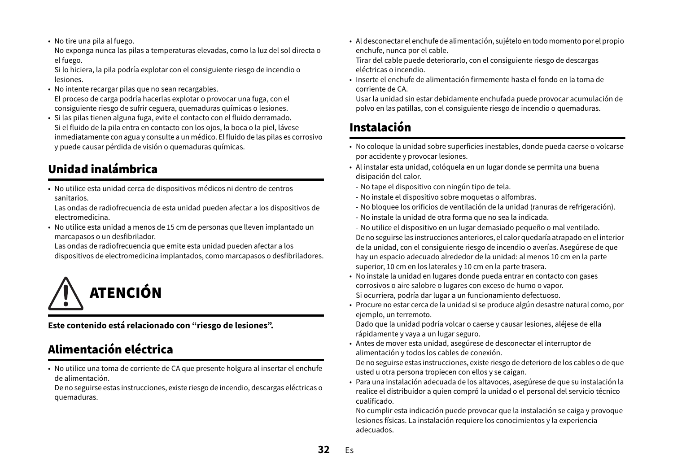• No tire una pila al fuego.

No exponga nunca las pilas a temperaturas elevadas, como la luz del sol directa o el fuego.

Si lo hiciera, la pila podría explotar con el consiguiente riesgo de incendio o lesiones.

- No intente recargar pilas que no sean recargables. El proceso de carga podría hacerlas explotar o provocar una fuga, con el consiguiente riesgo de sufrir ceguera, quemaduras químicas o lesiones.
- Si las pilas tienen alguna fuga, evite el contacto con el fluido derramado. Si el fluido de la pila entra en contacto con los ojos, la boca o la piel, lávese inmediatamente con agua y consulte a un médico. El fluido de las pilas es corrosivo y puede causar pérdida de visión o quemaduras químicas.

# Unidad inalámbrica

• No utilice esta unidad cerca de dispositivos médicos ni dentro de centros sanitarios.

Las ondas de radiofrecuencia de esta unidad pueden afectar a los dispositivos de electromedicina.

• No utilice esta unidad a menos de 15 cm de personas que lleven implantado un marcapasos o un desfibrilador.

Las ondas de radiofrecuencia que emite esta unidad pueden afectar a los dispositivos de electromedicina implantados, como marcapasos o desfibriladores.



**Este contenido está relacionado con "riesgo de lesiones".**

# Alimentación eléctrica

• No utilice una toma de corriente de CA que presente holgura al insertar el enchufe de alimentación.

De no seguirse estas instrucciones, existe riesgo de incendio, descargas eléctricas o quemaduras.

• Al desconectar el enchufe de alimentación, sujételo en todo momento por el propio enchufe, nunca por el cable.

Tirar del cable puede deteriorarlo, con el consiguiente riesgo de descargas eléctricas o incendio.

• Inserte el enchufe de alimentación firmemente hasta el fondo en la toma de corriente de CA.

Usar la unidad sin estar debidamente enchufada puede provocar acumulación de polvo en las patillas, con el consiguiente riesgo de incendio o quemaduras.

# Instalación

- No coloque la unidad sobre superficies inestables, donde pueda caerse o volcarse por accidente y provocar lesiones.
- Al instalar esta unidad, colóquela en un lugar donde se permita una buena disipación del calor.
- No tape el dispositivo con ningún tipo de tela.
- No instale el dispositivo sobre moquetas o alfombras.
- No bloquee los orificios de ventilación de la unidad (ranuras de refrigeración).
- No instale la unidad de otra forma que no sea la indicada.
- No utilice el dispositivo en un lugar demasiado pequeño o mal ventilado.

De no seguirse las instrucciones anteriores, el calor quedaría atrapado en el interior de la unidad, con el consiguiente riesgo de incendio o averías. Asegúrese de que hay un espacio adecuado alrededor de la unidad: al menos 10 cm en la parte superior, 10 cm en los laterales y 10 cm en la parte trasera.

- No instale la unidad en lugares donde pueda entrar en contacto con gases corrosivos o aire salobre o lugares con exceso de humo o vapor. Si ocurriera, podría dar lugar a un funcionamiento defectuoso.
- Procure no estar cerca de la unidad si se produce algún desastre natural como, por ejemplo, un terremoto.

Dado que la unidad podría volcar o caerse y causar lesiones, aléjese de ella rápidamente y vaya a un lugar seguro.

• Antes de mover esta unidad, asegúrese de desconectar el interruptor de alimentación y todos los cables de conexión.

De no seguirse estas instrucciones, existe riesgo de deterioro de los cables o de que usted u otra persona tropiecen con ellos y se caigan.

• Para una instalación adecuada de los altavoces, asegúrese de que su instalación la realice el distribuidor a quien compró la unidad o el personal del servicio técnico cualificado.

No cumplir esta indicación puede provocar que la instalación se caiga y provoque lesiones físicas. La instalación requiere los conocimientos y la experiencia adecuados.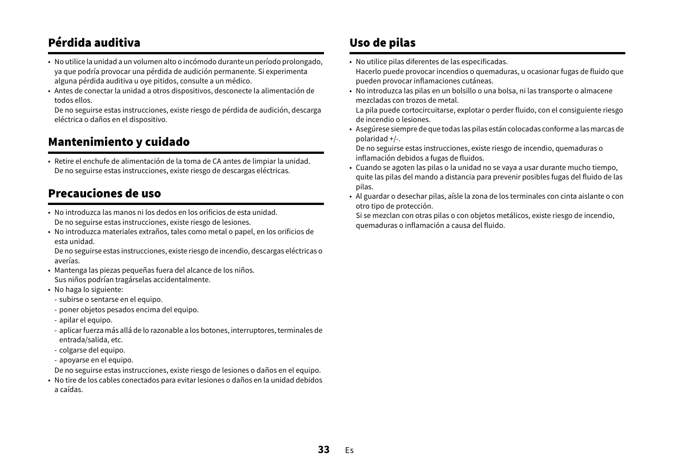# Pérdida auditiva

- No utilice la unidad a un volumen alto o incómodo durante un período prolongado, ya que podría provocar una pérdida de audición permanente. Si experimenta alguna pérdida auditiva u oye pitidos, consulte a un médico.
- Antes de conectar la unidad a otros dispositivos, desconecte la alimentación de todos ellos.

De no seguirse estas instrucciones, existe riesgo de pérdida de audición, descarga eléctrica o daños en el dispositivo.

### Mantenimiento y cuidado

• Retire el enchufe de alimentación de la toma de CA antes de limpiar la unidad. De no seguirse estas instrucciones, existe riesgo de descargas eléctricas.

### Precauciones de uso

- No introduzca las manos ni los dedos en los orificios de esta unidad.De no seguirse estas instrucciones, existe riesgo de lesiones.
- No introduzca materiales extraños, tales como metal o papel, en los orificios de esta unidad.

De no seguirse estas instrucciones, existe riesgo de incendio, descargas eléctricas o averías.

- Mantenga las piezas pequeñas fuera del alcance de los niños. Sus niños podrían tragárselas accidentalmente.
- No haga lo siguiente:
- subirse o sentarse en el equipo.
- poner objetos pesados encima del equipo.
- apilar el equipo.
- aplicar fuerza más allá de lo razonable a los botones, interruptores, terminales de entrada/salida, etc.
- colgarse del equipo.
- apoyarse en el equipo.
- De no seguirse estas instrucciones, existe riesgo de lesiones o daños en el equipo.
- No tire de los cables conectados para evitar lesiones o daños en la unidad debidos a caídas.

# Uso de pilas

• No utilice pilas diferentes de las especificadas.

Hacerlo puede provocar incendios o quemaduras, u ocasionar fugas de fluido que pueden provocar inflamaciones cutáneas.

• No introduzca las pilas en un bolsillo o una bolsa, ni las transporte o almacene mezcladas con trozos de metal.

La pila puede cortocircuitarse, explotar o perder fluido, con el consiguiente riesgo de incendio o lesiones.

• Asegúrese siempre de que todas las pilas están colocadas conforme a las marcas de polaridad +/-.

De no seguirse estas instrucciones, existe riesgo de incendio, quemaduras o inflamación debidos a fugas de fluidos.

- Cuando se agoten las pilas o la unidad no se vaya a usar durante mucho tiempo, quite las pilas del mando a distancia para prevenir posibles fugas del fluido de las pilas.
- Al guardar o desechar pilas, aísle la zona de los terminales con cinta aislante o con otro tipo de protección.

Si se mezclan con otras pilas o con objetos metálicos, existe riesgo de incendio, quemaduras o inflamación a causa del fluido.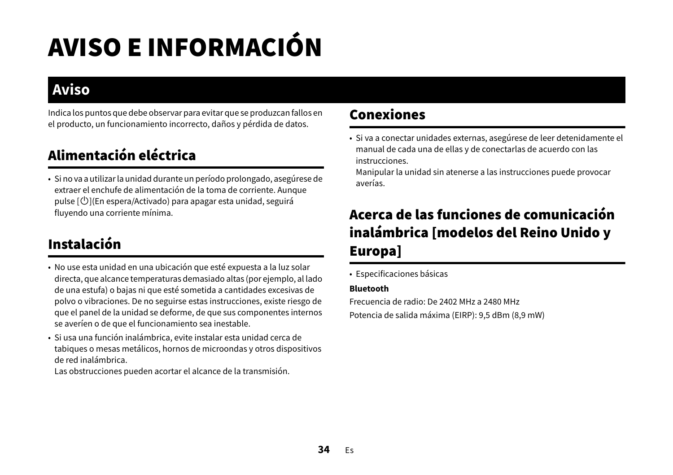# AVISO E INFORMACIÓN

# **Aviso**

Indica los puntos que debe observar para evitar que se produzcan fallos en el producto, un funcionamiento incorrecto, daños y pérdida de datos.

# Alimentación eléctrica

• Si no va a utilizar la unidad durante un período prolongado, asegúrese de extraer el enchufe de alimentación de la toma de corriente. Aunque pulse  $[\bigcirc]$ (En espera/Activado) para apagar esta unidad, seguirá fluyendo una corriente mínima.

# Instalación

- No use esta unidad en una ubicación que esté expuesta a la luz solar directa, que alcance temperaturas demasiado altas (por ejemplo, al lado de una estufa) o bajas ni que esté sometida a cantidades excesivas de polvo o vibraciones. De no seguirse estas instrucciones, existe riesgo de que el panel de la unidad se deforme, de que sus componentes internos se averíen o de que el funcionamiento sea inestable.
- Si usa una función inalámbrica, evite instalar esta unidad cerca de tabiques o mesas metálicos, hornos de microondas y otros dispositivos de red inalámbrica.

Las obstrucciones pueden acortar el alcance de la transmisión.

# Conexiones

• Si va a conectar unidades externas, asegúrese de leer detenidamente el manual de cada una de ellas y de conectarlas de acuerdo con las instrucciones.

Manipular la unidad sin atenerse a las instrucciones puede provocar averías.

# Acerca de las funciones de comunicación inalámbrica [modelos del Reino Unido y Europa]

• Especificaciones básicas

#### **Bluetooth**

Frecuencia de radio: De 2402 MHz a 2480 MHzPotencia de salida máxima (EIRP): 9,5 dBm (8,9 mW)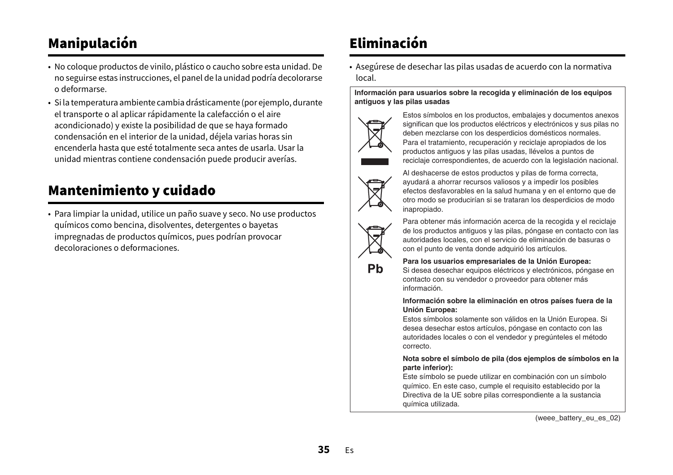# Manipulación

- No coloque productos de vinilo, plástico o caucho sobre esta unidad. De no seguirse estas instrucciones, el panel de la unidad podría decolorarse o deformarse.
- Si la temperatura ambiente cambia drásticamente (por ejemplo, durante el transporte o al aplicar rápidamente la calefacción o el aire acondicionado) y existe la posibilidad de que se haya formado condensación en el interior de la unidad, déjela varias horas sin encenderla hasta que esté totalmente seca antes de usarla. Usar la unidad mientras contiene condensación puede producir averías.

# Mantenimiento y cuidado

• Para limpiar la unidad, utilice un paño suave y seco. No use productos químicos como bencina, disolventes, detergentes o bayetas impregnadas de productos químicos, pues podrían provocar decoloraciones o deformaciones.

# Eliminación

• Asegúrese de desechar las pilas usadas de acuerdo con la normativa local.

#### **Información para usuarios sobre la recogida y eliminación de los equipos antiguos y las pilas usadas**



Estos símbolos en los productos, embalajes y documentos anexos significan que los productos eléctricos y electrónicos y sus pilas no deben mezclarse con los desperdicios domésticos normales. Para el tratamiento, recuperación y reciclaje apropiados de los productos antiguos y las pilas usadas, llévelos a puntos de reciclaje correspondientes, de acuerdo con la legislación nacional.



Al deshacerse de estos productos y pilas de forma correcta, ayudará a ahorrar recursos valiosos y a impedir los posibles efectos desfavorables en la salud humana y en el entorno que de otro modo se producirían si se trataran los desperdicios de modo inapropiado.



Pb

Para obtener más información acerca de la recogida y el reciclaje de los productos antiguos y las pilas, póngase en contacto con las autoridades locales, con el servicio de eliminación de basuras o con el punto de venta donde adquirió los artículos.

#### **Para los usuarios empresariales de la Unión Europea:**

Si desea desechar equipos eléctricos y electrónicos, póngase en contacto con su vendedor o proveedor para obtener más información.

#### **Información sobre la eliminación en otros países fuera de la Unión Europea:**

Estos símbolos solamente son válidos en la Unión Europea. Si desea desechar estos artículos, póngase en contacto con las autoridades locales o con el vendedor y pregúnteles el método correcto.

#### **Nota sobre el símbolo de pila (dos ejemplos de símbolos en la parte inferior):**

Este símbolo se puede utilizar en combinación con un símbolo químico. En este caso, cumple el requisito establecido por la Directiva de la UE sobre pilas correspondiente a la sustancia química utilizada.

(weee\_battery\_eu\_es\_02)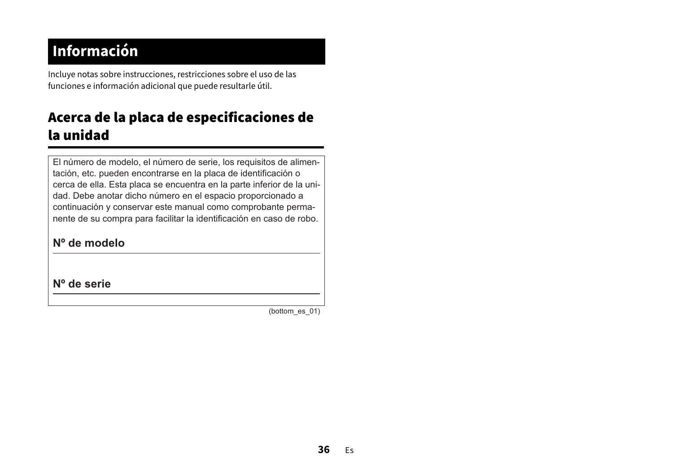# **Información**

Incluye notas sobre instrucciones, restricciones sobre el uso de las funciones e información adicional que puede resultarle útil.

# Acerca de la placa de especificaciones de la unidad

El número de modelo, el número de serie, los requisitos de alimentación, etc. pueden encontrarse en la placa de identificación o cerca de ella. Esta placa se encuentra en la parte inferior de la unidad. Debe anotar dicho número en el espacio proporcionado a continuación y conservar este manual como comprobante permanente de su compra para facilitar la identificación en caso de robo.

### **Nº de modelo**

**Nº de serie**

(bottom\_es\_01)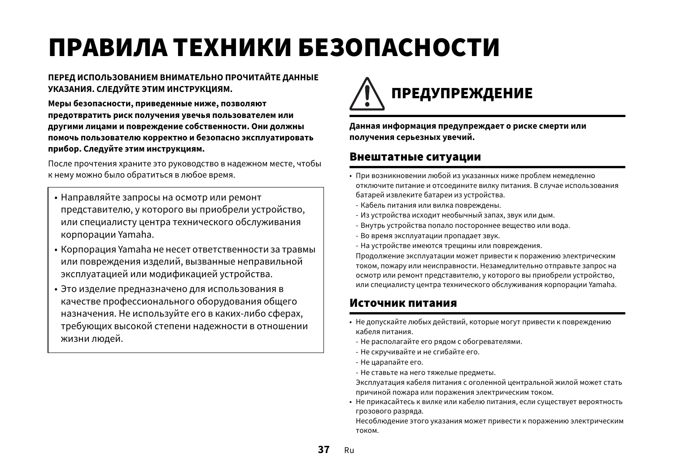# <span id="page-36-0"></span>ПРАВИЛА ТЕХНИКИ БЕЗОПАСНОСТИ

#### **ПЕРЕД ИСПОЛЬЗОВАНИЕМ ВНИМАТЕЛЬНО ПРОЧИТАЙТЕ ДАННЫЕ УКАЗАНИЯ. СЛЕДУЙТЕ ЭТИМ ИНСТРУКЦИЯМ.**

**Меры безопасности, приведенные ниже, позволяют предотвратить риск получения увечья пользователем или другими лицами и повреждение собственности. Они должны помочь пользователю корректно и безопасно эксплуатировать прибор. Следуйте этим инструкциям.**

После прочтения храните это руководство в надежном месте, чтобы к нему можно было обратиться в любое время.

- Направляйте запросы на осмотр или ремонт представителю, у которого вы приобрели устройство, или специалисту центра технического обслуживания корпорации Yamaha.
- Корпорация Yamaha не несет ответственности за травмы или повреждения изделий, вызванные неправильной эксплуатацией или модификацией устройства.
- Это изделие предназначено для использования в качестве профессионального оборудования общего назначения. Не используйте его в каких-либо сферах, требующих высокой степени надежности в отношении жизни людей.



**Данная информация предупреждает о риске смерти или получения серьезных увечий.**

#### Внештатные ситуации

- При возникновении любой из указанных ниже проблем немедленно отключите питание и отсоедините вилку питания. В случае использования батарей извлеките батареи из устройства.
- Кабель питания или вилка повреждены.
- Из устройства исходит необычный запах, звук или дым.
- Внутрь устройства попало постороннее вещество или вода.
- Во время эксплуатации пропадает звук.
- На устройстве имеются трещины или повреждения.

Продолжение эксплуатации может привести к поражению электрическим током, пожару или неисправности. Незамедлительно отправьте запрос на осмотр или ремонт представителю, у которого вы приобрели устройство, или специалисту центра технического обслуживания корпорации Yamaha.

### Источник питания

- Не допускайте любых действий, которые могут привести к повреждению кабеля питания.
	- Не располагайте его рядом с обогревателями.
	- Не скручивайте и не сгибайте его.
- Не царапайте его.
- Не ставьте на него тяжелые предметы.

Эксплуатация кабеля питания с оголенной центральной жилой может стать причиной пожара или поражения электрическим током.

• Не прикасайтесь к вилке или кабелю питания, если существует вероятность грозового разряда.

Несоблюдение этого указания может привести к поражению электрическим током.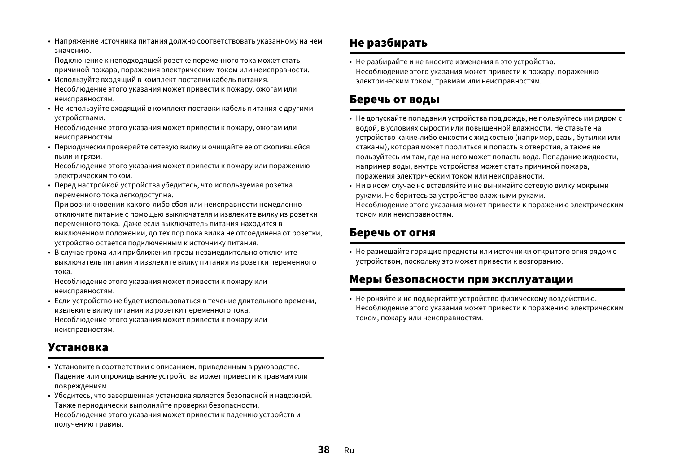• Напряжение источника питания должно соответствовать указанному на нем значению.

Подключение к неподходящей розетке переменного тока может стать причиной пожара, поражения электрическим током или неисправности.

- Используйте входящий в комплект поставки кабель питания. Несоблюдение этого указания может привести к пожару, ожогам или неисправностям.
- Не используйте входящий в комплект поставки кабель питания с другими устройствами.

Несоблюдение этого указания может привести к пожару, ожогам или неисправностям.

• Периодически проверяйте сетевую вилку и очищайте ее от скопившейся пыли и грязи.

Несоблюдение этого указания может привести к пожару или поражению электрическим током.

• Перед настройкой устройства убедитесь, что используемая розетка переменного тока легкодоступна.

При возникновении какого-либо сбоя или неисправности немедленно отключите питание с помощью выключателя и извлеките вилку из розетки переменного тока. Даже если выключатель питания находится в выключенном положении, до тех пор пока вилка не отсоединена от розетки, устройство остается подключенным к источнику питания.

• В случае грома или приближения грозы незамедлительно отключите выключатель питания и извлеките вилку питания из розетки переменного тока.

Несоблюдение этого указания может привести к пожару или неисправностям.

• Если устройство не будет использоваться в течение длительного времени, извлеките вилку питания из розетки переменного тока. Несоблюдение этого указания может привести к пожару или неисправностям.

### Установка

- Установите в соответствии с описанием, приведенным в руководстве. Падение или опрокидывание устройства может привести к травмам или повреждениям.
- Убедитесь, что завершенная установка является безопасной и надежной. Также периодически выполняйте проверки безопасности. Несоблюдение этого указания может привести к падению устройств и получению травмы.

# Не разбирать

• Не разбирайте и не вносите изменения в это устройство. Несоблюдение этого указания может привести к пожару, поражению электрическим током, травмам или неисправностям.

### Беречь от воды

- Не допускайте попадания устройства под дождь, не пользуйтесь им рядом с водой, в условиях сырости или повышенной влажности. Не ставьте на устройство какие-либо емкости с жидкостью (например, вазы, бутылки или стаканы), которая может пролиться и попасть в отверстия, а также не пользуйтесь им там, где на него может попасть вода. Попадание жидкости, например воды, внутрь устройства может стать причиной пожара, поражения электрическим током или неисправности.
- Ни в коем случае не вставляйте и не вынимайте сетевую вилку мокрыми руками. Не беритесь за устройство влажными руками.

Несоблюдение этого указания может привести к поражению электрическим током или неисправностям.

### Беречь от огня

• Не размещайте горящие предметы или источники открытого огня рядом с устройством, поскольку это может привести к возгоранию.

### Меры безопасности при эксплуатации

• Не роняйте и не подвергайте устройство физическому воздействию. Несоблюдение этого указания может привести к поражению электрическим током, пожару или неисправностям.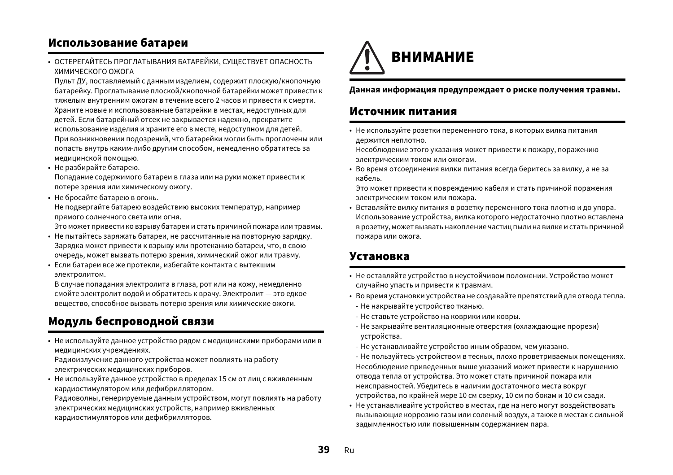### Использование батареи

• ОСТЕРЕГАЙТЕСЬ ПРОГЛАТЫВАНИЯ БАТАРЕЙКИ, СУЩЕСТВУЕТ ОПАСНОСТЬ ХИМИЧЕСКОГО ОЖОГА

Пульт ДУ, поставляемый с данным изделием, содержит плоскую/кнопочную батарейку. Проглатывание плоской/кнопочной батарейки может привести к тяжелым внутренним ожогам в течение всего 2 часов и привести к смерти. Храните новые и использованные батарейки в местах, недоступных для детей. Если батарейный отсек не закрывается надежно, прекратите использование изделия и храните его в месте, недоступном для детей. При возникновении подозрений, что батарейки могли быть проглочены или попасть внутрь каким-либо другим способом, немедленно обратитесь за медицинской помощью.

• Не разбирайте батарею.

Попадание содержимого батареи в глаза или на руки может привести к потере зрения или химическому ожогу.

• Не бросайте батарею в огонь. Не подвергайте батарею воздействию высоких температур, например прямого солнечного света или огня.

Это может привести ко взрыву батареи и стать причиной пожара или травмы.

- Не пытайтесь заряжать батареи, не рассчитанные на повторную зарядку. Зарядка может привести к взрыву или протеканию батареи, что, в свою очередь, может вызвать потерю зрения, химический ожог или травму.
- Если батареи все же протекли, избегайте контакта с вытекшим электролитом.

В случае попадания электролита в глаза, рот или на кожу, немедленно смойте электролит водой и обратитесь к врачу. Электролит — это едкое вещество, способное вызвать потерю зрения или химические ожоги.

### Модуль беспроводной связи

• Не используйте данное устройство рядом с медицинскими приборами или в медицинских учреждениях.

Радиоизлучение данного устройства может повлиять на работу электрических медицинских приборов.

• Не используйте данное устройство в пределах 15 см от лиц с вживленным кардиостимулятором или дефибриллятором.

Радиоволны, генерируемые данным устройством, могут повлиять на работу электрических медицинских устройств, например вживленных кардиостимуляторов или дефибрилляторов.



#### **Данная информация предупреждает о риске получения травмы.**

#### Источник питания

• Не используйте розетки переменного тока, в которых вилка питания держится неплотно.

Несоблюдение этого указания может привести к пожару, поражению электрическим током или ожогам.

• Во время отсоединения вилки питания всегда беритесь за вилку, а не за кабель.

Это может привести к повреждению кабеля и стать причиной поражения электрическим током или пожара.

• Вставляйте вилку питания в розетку переменного тока плотно и до упора. Использование устройства, вилка которого недостаточно плотно вставлена в розетку, может вызвать накопление частиц пыли на вилке и стать причиной пожара или ожога.

#### Установка

- Не оставляйте устройство в неустойчивом положении. Устройство может случайно упасть и привести к травмам.
- Во время установки устройства не создавайте препятствий для отвода тепла.
- Не накрывайте устройство тканью.
- Не ставьте устройство на коврики или ковры.
- Не закрывайте вентиляционные отверстия (охлаждающие прорези) устройства.
- Не устанавливайте устройство иным образом, чем указано.
- Не пользуйтесь устройством в тесных, плохо проветриваемых помещениях. Несоблюдение приведенных выше указаний может привести к нарушению отвода тепла от устройства. Это может стать причиной пожара или неисправностей. Убедитесь в наличии достаточного места вокруг устройства, по крайней мере 10 см сверху, 10 см по бокам и 10 см сзади.
- Не устанавливайте устройство в местах, где на него могут воздействовать вызывающие коррозию газы или соленый воздух, а также в местах с сильной задымленностью или повышенным содержанием пара.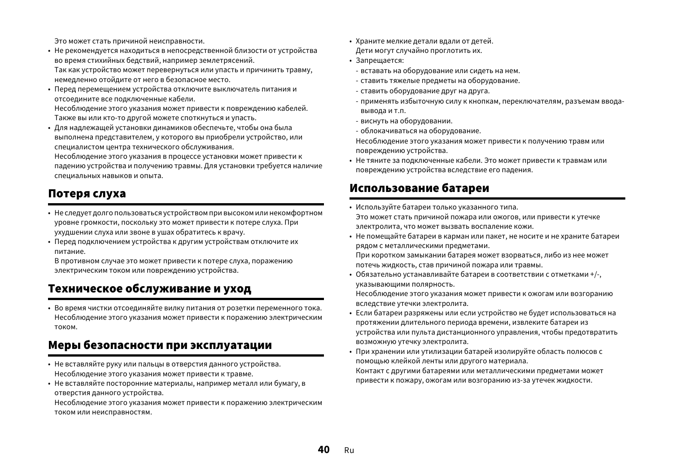Это может стать причиной неисправности.

- Не рекомендуется находиться в непосредственной близости от устройства во время стихийных бедствий, например землетрясений. Так как устройство может перевернуться или упасть и причинить травму, немедленно отойдите от него в безопасное место.
- Перед перемещением устройства отключите выключатель питания и отсоедините все подключенные кабели.

Несоблюдение этого указания может привести к повреждению кабелей. Также вы или кто-то другой можете споткнуться и упасть.

• Для надлежащей установки динамиков обеспечьте, чтобы она была выполнена представителем, у которого вы приобрели устройство, или специалистом центра технического обслуживания.

Несоблюдение этого указания в процессе установки может привести к падению устройства и получению травмы. Для установки требуется наличие специальных навыков и опыта.

### Потеря слуха

- Не следует долго пользоваться устройством при высоком или некомфортном уровне громкости, поскольку это может привести к потере слуха. При ухудшении слуха или звоне в ушах обратитесь к врачу.
- Перед подключением устройства к другим устройствам отключите их питание.

В противном случае это может привести к потере слуха, поражению электрическим током или повреждению устройства.

### Техническое обслуживание и уход

• Во время чистки отсоединяйте вилку питания от розетки переменного тока. Несоблюдение этого указания может привести к поражению электрическим током.

### Меры безопасности при эксплуатации

- Не вставляйте руку или пальцы в отверстия данного устройства. Несоблюдение этого указания может привести к травме.
- Не вставляйте посторонние материалы, например металл или бумагу, в отверстия данного устройства.

Несоблюдение этого указания может привести к поражению электрическим током или неисправностям.

- Храните мелкие детали вдали от детей. Дети могут случайно проглотить их.
- Запрещается:
- вставать на оборудование или сидеть на нем.
- ставить тяжелые предметы на оборудование.
- ставить оборудование друг на друга.
- применять избыточную силу к кнопкам, переключателям, разъемам вводавывода и т.п.
- виснуть на оборудовании.
- облокачиваться на оборудование.

Несоблюдение этого указания может привести к получению травм или повреждению устройства.

• Не тяните за подключенные кабели. Это может привести к травмам или повреждению устройства вследствие его падения.

### Использование батареи

- Используйте батареи только указанного типа. Это может стать причиной пожара или ожогов, или привести к утечке электролита, что может вызвать воспаление кожи.
- Не помещайте батареи в карман или пакет, не носите и не храните батареи рядом с металлическими предметами. При коротком замыкании батарея может взорваться, либо из нее может потечь жидкость, став причиной пожара или травмы.
- Обязательно устанавливайте батареи в соответствии с отметками +/-, указывающими полярность.

Несоблюдение этого указания может привести к ожогам или возгоранию вследствие утечки электролита.

- Если батареи разряжены или если устройство не будет использоваться на протяжении длительного периода времени, извлеките батареи из устройства или пульта дистанционного управления, чтобы предотвратить возможную утечку электролита.
- При хранении или утилизации батарей изолируйте область полюсов с помощью клейкой ленты или другого материала. Контакт с другими батареями или металлическими предметами может привести к пожару, ожогам или возгоранию из-за утечек жидкости.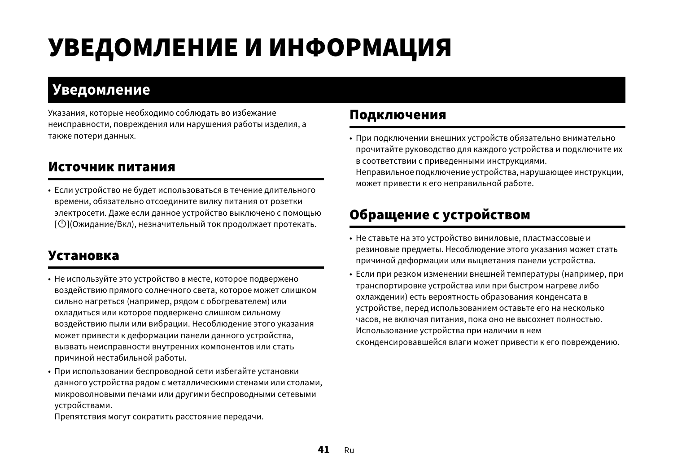# УВЕДОМЛЕНИЕ И ИНФОРМАЦИЯ

# **Уведомление**

Указания, которые необходимо соблюдать во избежание неисправности, повреждения или нарушения работы изделия, а также потери данных.

# Источник питания

• Если устройство не будет использоваться в течение длительного времени, обязательно отсоедините вилку питания от розетки электросети. Даже если данное устройство выключено с помощью  $\lceil \bigcup \rceil$ (Ожидание/Вкл), незначительный ток продолжает протекать.

# Установка

- Не используйте это устройство в месте, которое подвержено воздействию прямого солнечного света, которое может слишком сильно нагреться (например, рядом с обогревателем) или охладиться или которое подвержено слишком сильному воздействию пыли или вибрации. Несоблюдение этого указания может привести к деформации панели данного устройства, вызвать неисправности внутренних компонентов или стать причиной нестабильной работы.
- При использовании беспроводной сети избегайте установки данного устройства рядом с металлическими стенами или столами, микроволновыми печами или другими беспроводными сетевыми устройствами.

Препятствия могут сократить расстояние передачи.

### Подключения

• При подключении внешних устройств обязательно внимательно прочитайте руководство для каждого устройства и подключите их в соответствии с приведенными инструкциями. Неправильное подключение устройства, нарушающее инструкции, может привести к его неправильной работе.

# Обращение с устройством

- Не ставьте на это устройство виниловые, пластмассовые и резиновые предметы. Несоблюдение этого указания может стать причиной деформации или выцветания панели устройства.
- Если при резком изменении внешней температуры (например, при транспортировке устройства или при быстром нагреве либо охлаждении) есть вероятность образования конденсата в устройстве, перед использованием оставьте его на несколько часов, не включая питания, пока оно не высохнет полностью. Использование устройства при наличии в нем сконденсировавшейся влаги может привести к его повреждению.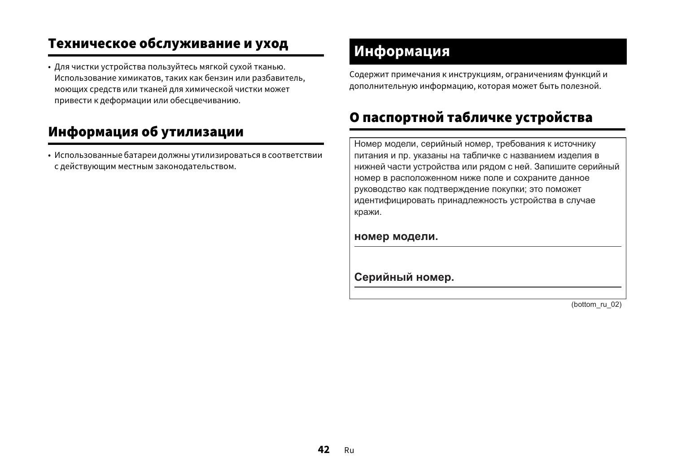# Техническое обслуживание и уход

• Для чистки устройства пользуйтесь мягкой сухой тканью. Использование химикатов, таких как бензин или разбавитель, моющих средств или тканей для химической чистки может привести к деформации или обесцвечиванию.

# Информация об утилизации

• Использованные батареи должны утилизироваться в соответствии с действующим местным законодательством.

# **Информация**

Содержит примечания к инструкциям, ограничениям функций и дополнительную информацию, которая может быть полезной.

# О паспортной табличке устройства

Номер модели, серийный номер, требования к источнику питания и пр. указаны на табличке с названием изделия в нижней части устройства или рядом с ней. Запишите серийный номер в расположенном ниже поле и сохраните данное руководство как подтверждение покупки; это поможет идентифицировать принадлежность устройства в случае кражи.

#### **НОМЕР МОДЕЛИ.**

 $C$ ерийный номер.

(bottom\_ru\_02)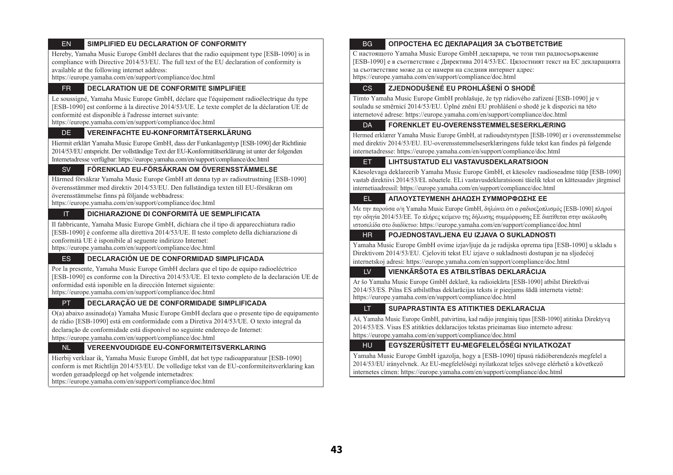#### EN**SIMPLIFIED EU DECLARATION OF CONFORMITY**

Hereby, Yamaha Music Europe GmbH declares that the radio equipment type [ESB-1090] is in compliance with Directive 2014/53/EU. The full text of the EU declaration of conformity is available at the following internet address:

https://europe.yamaha.com/en/support/compliance/doc.html

#### FR**DECLARATION UE DE CONFORMITE SIMPLIFIEE**

Le soussigné, Yamaha Music Europe GmbH, déclare que l'équipement radioélectrique du type [ESB-1090] est conforme à la directive 2014/53/UE. Le texte complet de la déclaration UE de conformité est disponible à l'adresse internet suivante:

https://europe.yamaha.com/en/support/compliance/doc.html

#### DE**VEREINFACHTE EU-KONFORMITÄTSERKLÄRUNG**

Hiermit erklärt Yamaha Music Europe GmbH, dass der Funkanlagentyp [ESB-1090] der Richtlinie 2014/53/EU entspricht. Der vollständige Text der EU-Konformitätserklärung ist unter der folgenden Internetadresse verfügbar: https://europe.yamaha.com/en/support/compliance/doc.html

#### SV**FÖRENKLAD EU-FÖRSÄKRAN OM ÖVERENSSTÄMMELSE**

Härmed försäkrar Yamaha Music Europe GmbH att denna typ av radioutrustning [ESB-1090] överensstämmer med direktiv 2014/53/EU. Den fullständiga texten till EU-försäkran om överensstämmelse finns på följande webbadress:

https://europe.yamaha.com/en/support/compliance/doc.html

#### IT**DICHIARAZIONE DI CONFORMITÀ UE SEMPLIFICATA**

Il fabbricante, Yamaha Music Europe GmbH, dichiara che il tipo di apparecchiatura radio [ESB-1090] è conforme alla direttiva 2014/53/UE. Il testo completo della dichiarazione di conformità UE è isponibile al seguente indirizzo Internet: https://europe.yamaha.com/en/support/compliance/doc.html

#### ES**DECLARACIÓN UE DE CONFORMIDAD SIMPLIFICADA**

Por la presente, Yamaha Music Europe GmbH declara que el tipo de equipo radioeléctrico [ESB-1090] es conforme con la Directiva 2014/53/UE. El texto completo de la declaración UE de onformidad está isponible en la dirección Internet siguiente: https://europe.yamaha.com/en/support/compliance/doc.html

#### PT**DECLARAÇÃO UE DE CONFORMIDADE SIMPLIFICADA**

O(a) abaixo assinado(a) Yamaha Music Europe GmbH declara que o presente tipo de equipamento de rádio [ESB-1090] está em conformidade com a Diretiva 2014/53/UE. O texto integral da declaração de conformidade está disponível no seguinte endereço de Internet: https://europe.yamaha.com/en/support/compliance/doc.html

#### NL**VEREENVOUDIGDE EU-CONFORMITEITSVERKLARING**

Hierbij verklaar ik, Yamaha Music Europe GmbH, dat het type radioapparatuur [ESB-1090] conform is met Richtlijn 2014/53/EU. De volledige tekst van de EU-conformiteitsverklaring kan worden geraadpleegd op het volgende internetadres:

https://europe.yamaha.com/en/support/compliance/doc.html

#### BG**ОПРОСТЕНА ЕС ДЕКЛАРАЦИЯ ЗА СЪОТВЕТСТВИЕ**

С настоящото Yamaha Music Europe GmbH декларира, че този тип радиосъоръжение [ESB-1090] е в съответствие с Директива 2014/53/ЕС. Цялостният текст на ЕС декларацията за съответствие може да се намери на следния интернет адрес:

https://europe.yamaha.com/en/support/compliance/doc.html

#### CS**ZJEDNODUŠENÉ EU PROHLÁŠENÍ O SHODĚ**

Tímto Yamaha Music Europe GmbH prohlašuje, že typ rádiového zařízení [ESB-1090] je v souladu se směrnicí 2014/53/EU. Úplné znění EU prohlášení o shodě je k dispozici na této internetové adrese: https://europe.yamaha.com/en/support/compliance/doc.html

#### **DA FORENKLET EU-OVERENSSTEMMELSESERKLÆRING**

Hermed erklærer Yamaha Music Europe GmbH, at radioudstyrstypen [ESB-1090] er i overensstemmelse med direktiv 2014/53/EU. EU-overensstemmelseserklæringens fulde tekst kan findes på følgende internetadresse: https://europe.yamaha.com/en/support/compliance/doc.html

#### ET**LIHTSUSTATUD ELI VASTAVUSDEKLARATSIOON**

Käesolevaga deklareerib Yamaha Music Europe GmbH, et käesolev raadioseadme tüüp [ESB-1090] vastab direktiivi 2014/53/EL nõuetele. ELi vastavusdeklaratsiooni täielik tekst on kättesaadav järgmisel internetiaadressil: https://europe.yamaha.com/en/support/compliance/doc.html

#### EL**ΑΠΛΟΥΣΤΕΥΜΕΝΗ ΔΗΛΩΣΗ ΣΥΜΜΟΡΦΩΣΗΣ ΕΕ**

Με την παρούσα ο/η Yamaha Music Europe GmbH, δηλώνει ότι ο ραδιοεξοπλισμός [ESB-1090] πληροί την οδηγία 2014/53/ΕΕ. Το πλήρες κείμενο της δήλωσης συμμόρφωσης ΕΕ διατίθεται στην ακόλουθη ιστοσελίδα στο διαδίκτυο: https://europe.yamaha.com/en/support/compliance/doc.html

#### HR**POJEDNOSTAVLJENA EU IZJAVA O SUKLADNOSTI**

Yamaha Music Europe GmbH ovime izjavljuje da je radijska oprema tipa [ESB-1090] u skladu s Direktivom 2014/53/EU. Cjeloviti tekst EU izjave o sukladnosti dostupan je na sljedećoj internetskoj adresi: https://europe.yamaha.com/en/support/compliance/doc.html

#### LV**VIENKĀRŠOTA ES ATBILSTĪBAS DEKLARĀCIJA**

Ar šo Yamaha Music Europe GmbH deklarē, ka radioiekārta [ESB-1090] atbilst Direktīvai 2014/53/ES. Pilns ES atbilstības deklarācijas teksts ir pieejams šādā interneta vietnē: https://europe.yamaha.com/en/support/compliance/doc.html

#### LT**SUPAPRASTINTA ES ATITIKTIES DEKLARACIJA**

Aš, Yamaha Music Europe GmbH, patvirtinu, kad radijo įrenginių tipas [ESB-1090] atitinka Direktyvą 2014/53/ES. Visas ES atitikties deklaracijos tekstas prieinamas šiuo interneto adresu: https://europe.yamaha.com/en/support/compliance/doc.html

#### HU**EGYSZERŰSÍTETT EU-MEGFELELŐSÉGI NYILATKOZAT**

Yamaha Music Europe GmbH igazolja, hogy a [ESB-1090] típusú rádióberendezés megfelel a 2014/53/EU irányelvnek. Az EU-megfelelőségi nyilatkozat teljes szövege elérhető a következő internetes címen: https://europe.yamaha.com/en/support/compliance/doc.html